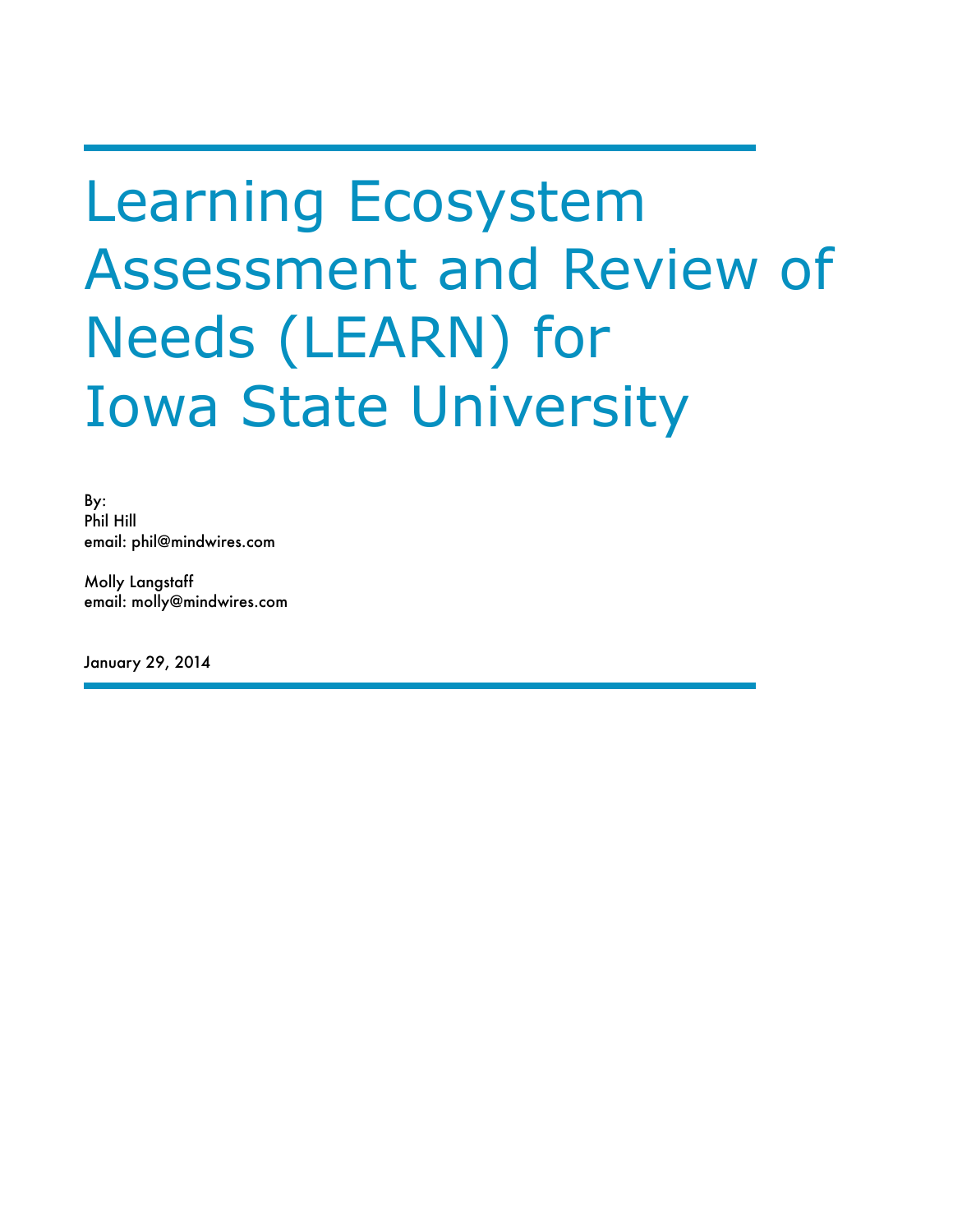# Learning Ecosystem Assessment and Review of Needs (LEARN) for Iowa State University

By: Phil Hill email: phil@mindwires.com

Molly Langstaff email: molly@mindwires.com

January 29, 2014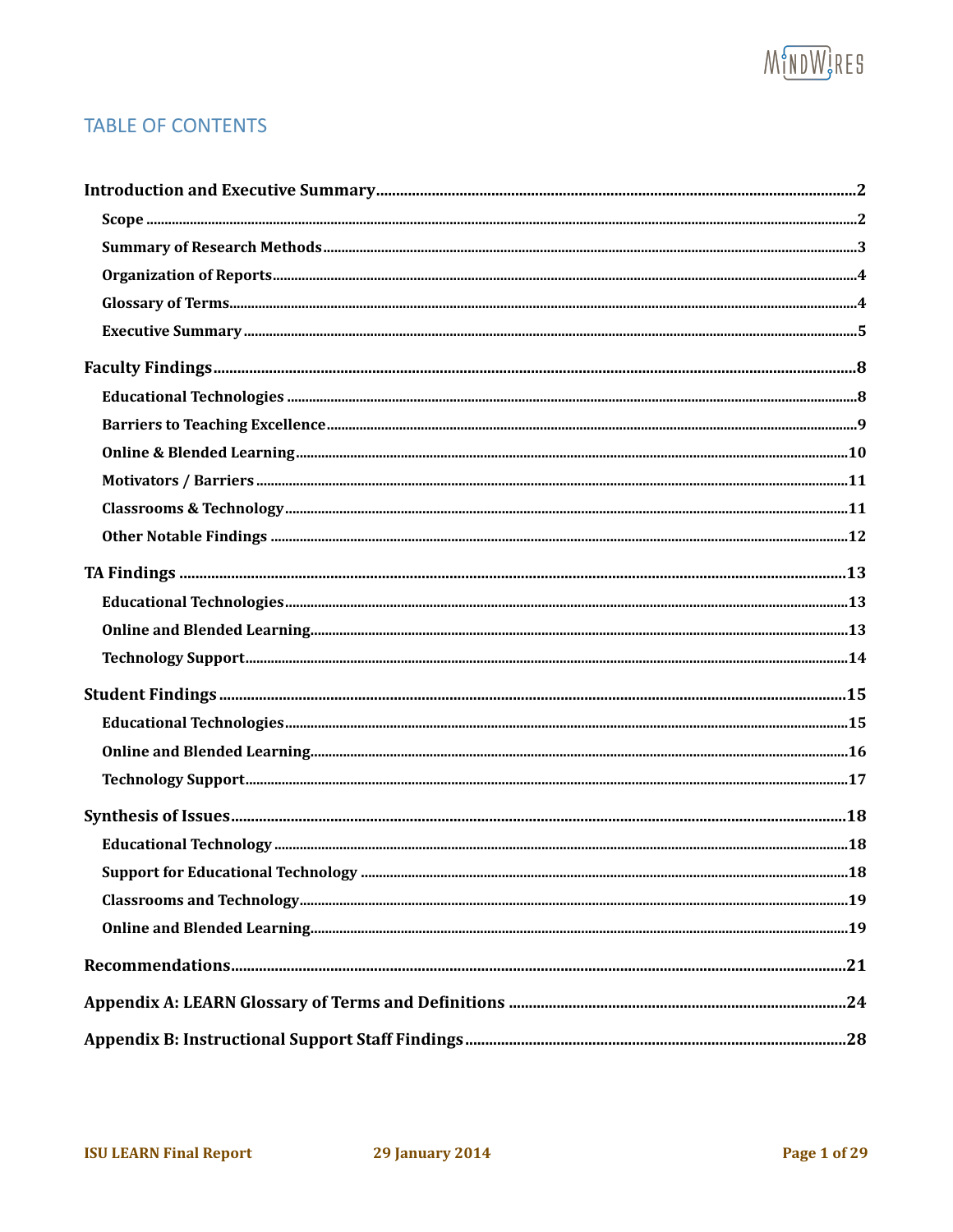# **MUDWGRES**

#### **TABLE OF CONTENTS**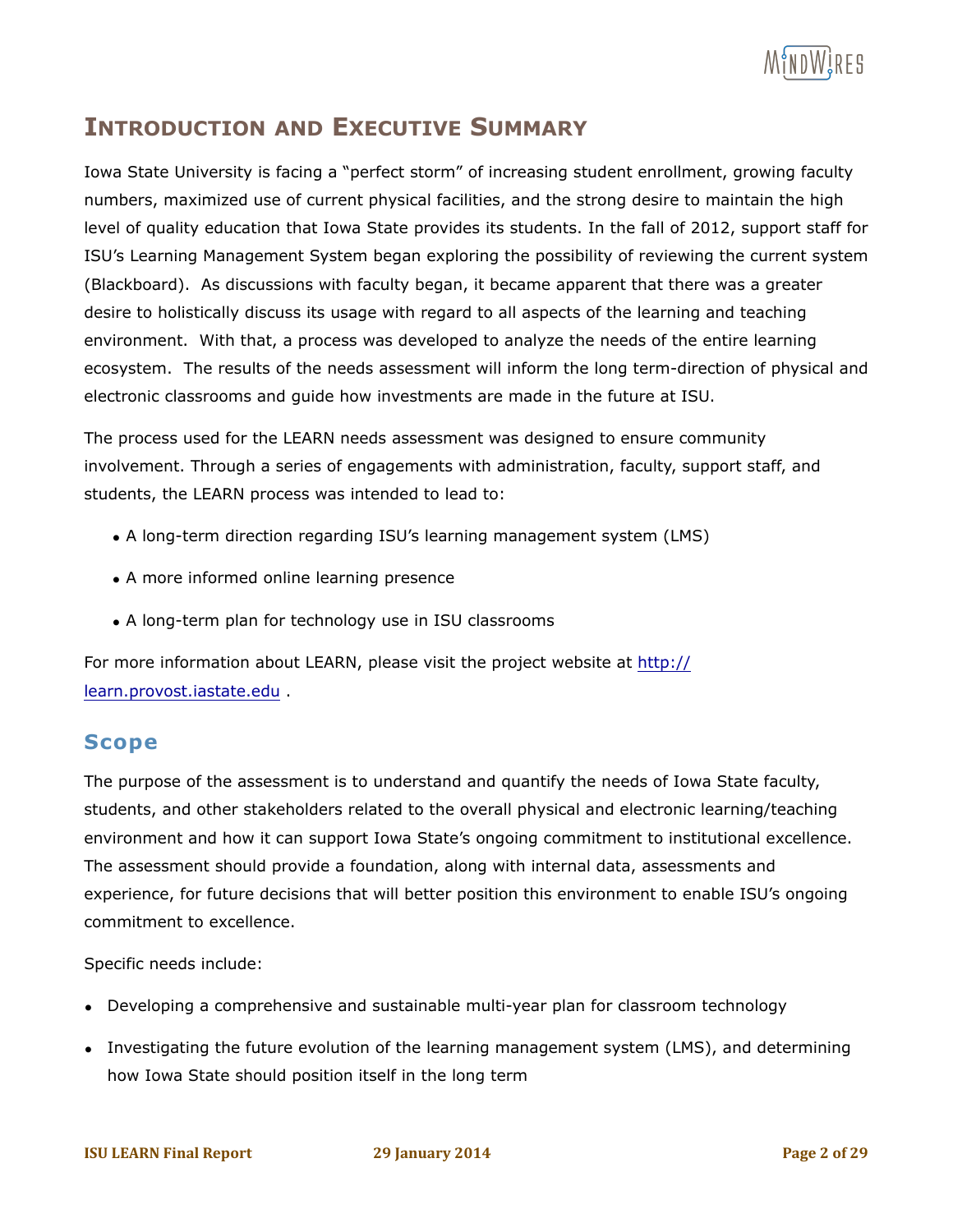

# **INTRODUCTION AND EXECUTIVE SUMMARY**

Iowa State University is facing a "perfect storm" of increasing student enrollment, growing faculty numbers, maximized use of current physical facilities, and the strong desire to maintain the high level of quality education that Iowa State provides its students. In the fall of 2012, support staff for ISU's Learning Management System began exploring the possibility of reviewing the current system (Blackboard). As discussions with faculty began, it became apparent that there was a greater desire to holistically discuss its usage with regard to all aspects of the learning and teaching environment. With that, a process was developed to analyze the needs of the entire learning ecosystem. The results of the needs assessment will inform the long term-direction of physical and electronic classrooms and guide how investments are made in the future at ISU.

The process used for the LEARN needs assessment was designed to ensure community involvement. Through a series of engagements with administration, faculty, support staff, and students, the LEARN process was intended to lead to:

- A long-term direction regarding ISU's learning management system (LMS)
- A more informed online learning presence
- A long-term plan for technology use in ISU classrooms

For more information about LEARN, please visit the project website at http:// learn.provost.iastate.edu .

#### **Scope**

The purpose of the assessment is to understand and quantify the needs of Iowa State faculty, students, and other stakeholders related to the overall physical and electronic learning/teaching environment and how it can support Iowa State's ongoing commitment to institutional excellence. The assessment should provide a foundation, along with internal data, assessments and experience, for future decisions that will better position this environment to enable ISU's ongoing commitment to excellence.

Specific needs include:

- Developing a comprehensive and sustainable multi-year plan for classroom technology
- Investigating the future evolution of the learning management system (LMS), and determining how Iowa State should position itself in the long term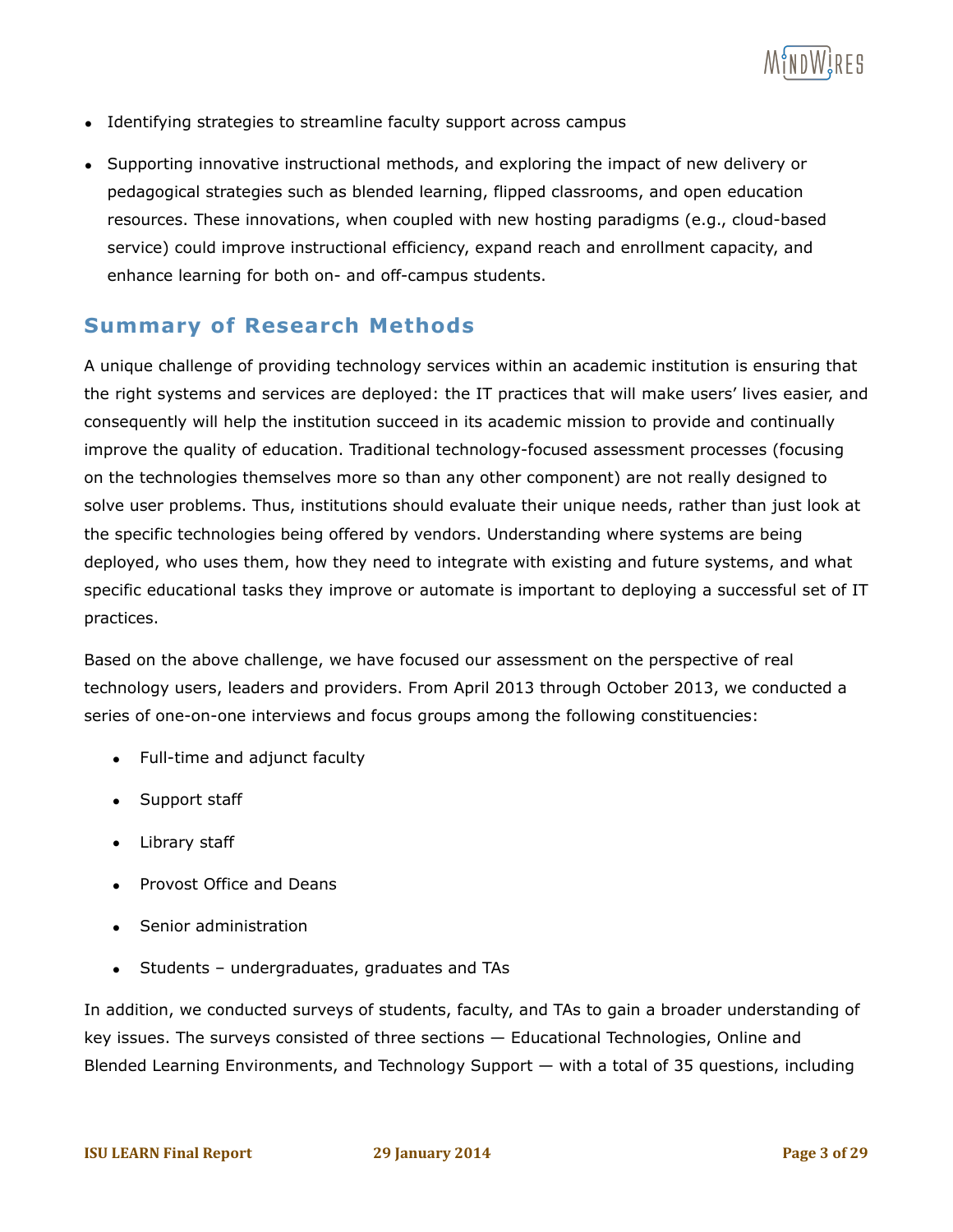

- Identifying strategies to streamline faculty support across campus
- Supporting innovative instructional methods, and exploring the impact of new delivery or pedagogical strategies such as blended learning, flipped classrooms, and open education resources. These innovations, when coupled with new hosting paradigms (e.g., cloud-based service) could improve instructional efficiency, expand reach and enrollment capacity, and enhance learning for both on- and off-campus students.

#### **Summary of Research Methods**

A unique challenge of providing technology services within an academic institution is ensuring that the right systems and services are deployed: the IT practices that will make users' lives easier, and consequently will help the institution succeed in its academic mission to provide and continually improve the quality of education. Traditional technology-focused assessment processes (focusing on the technologies themselves more so than any other component) are not really designed to solve user problems. Thus, institutions should evaluate their unique needs, rather than just look at the specific technologies being offered by vendors. Understanding where systems are being deployed, who uses them, how they need to integrate with existing and future systems, and what specific educational tasks they improve or automate is important to deploying a successful set of IT practices.

Based on the above challenge, we have focused our assessment on the perspective of real technology users, leaders and providers. From April 2013 through October 2013, we conducted a series of one-on-one interviews and focus groups among the following constituencies:

- Full-time and adjunct faculty
- Support staff
- Library staff
- Provost Office and Deans
- Senior administration
- Students undergraduates, graduates and TAs

In addition, we conducted surveys of students, faculty, and TAs to gain a broader understanding of key issues. The surveys consisted of three sections — Educational Technologies, Online and Blended Learning Environments, and Technology Support — with a total of 35 questions, including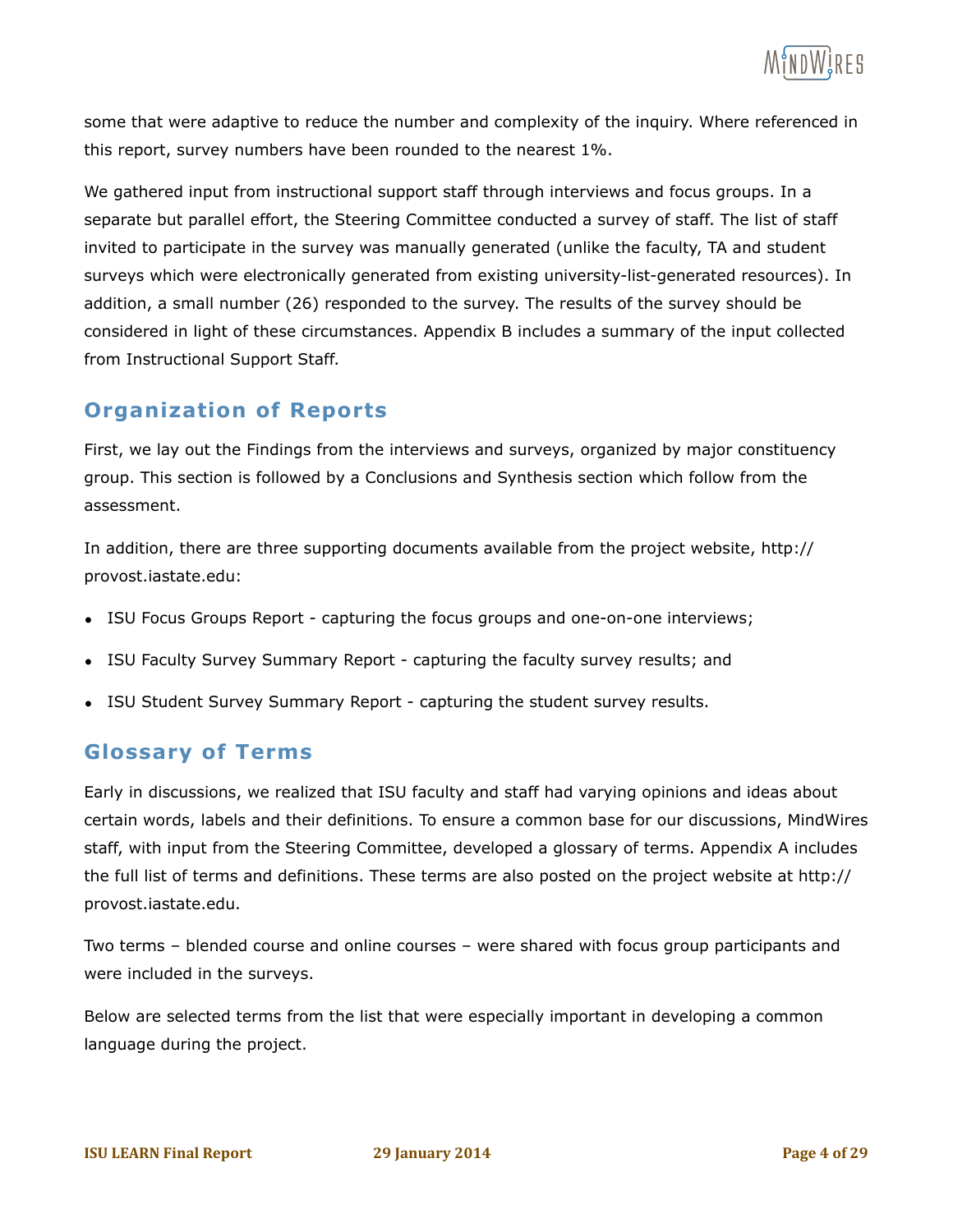some that were adaptive to reduce the number and complexity of the inquiry. Where referenced in this report, survey numbers have been rounded to the nearest 1%.

We gathered input from instructional support staff through interviews and focus groups. In a separate but parallel effort, the Steering Committee conducted a survey of staff. The list of staff invited to participate in the survey was manually generated (unlike the faculty, TA and student surveys which were electronically generated from existing university-list-generated resources). In addition, a small number (26) responded to the survey. The results of the survey should be considered in light of these circumstances. Appendix B includes a summary of the input collected from Instructional Support Staff.

#### **Organization of Reports**

First, we lay out the Findings from the interviews and surveys, organized by major constituency group. This section is followed by a Conclusions and Synthesis section which follow from the assessment.

In addition, there are three supporting documents available from the project website, http:// provost.iastate.edu:

- ISU Focus Groups Report capturing the focus groups and one-on-one interviews;
- ISU Faculty Survey Summary Report capturing the faculty survey results; and
- ISU Student Survey Summary Report capturing the student survey results.

#### **Glossary of Terms**

Early in discussions, we realized that ISU faculty and staff had varying opinions and ideas about certain words, labels and their definitions. To ensure a common base for our discussions, MindWires staff, with input from the Steering Committee, developed a glossary of terms. Appendix A includes the full list of terms and definitions. These terms are also posted on the project website at http:// provost.iastate.edu.

Two terms – blended course and online courses – were shared with focus group participants and were included in the surveys.

Below are selected terms from the list that were especially important in developing a common language during the project.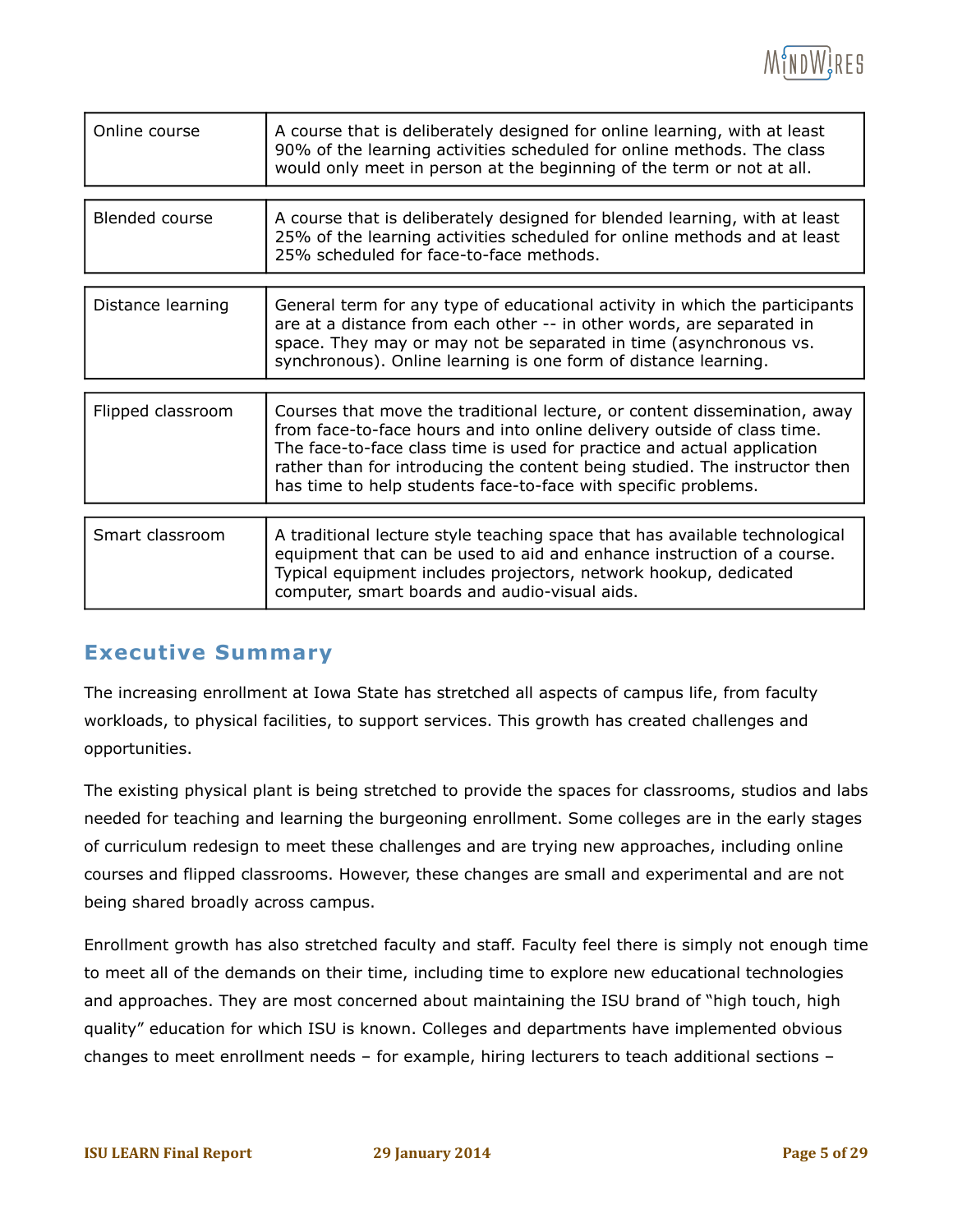

| Online course     | A course that is deliberately designed for online learning, with at least<br>90% of the learning activities scheduled for online methods. The class<br>would only meet in person at the beginning of the term or not at all.                                                                                                                                                    |
|-------------------|---------------------------------------------------------------------------------------------------------------------------------------------------------------------------------------------------------------------------------------------------------------------------------------------------------------------------------------------------------------------------------|
| Blended course    | A course that is deliberately designed for blended learning, with at least<br>25% of the learning activities scheduled for online methods and at least<br>25% scheduled for face-to-face methods.                                                                                                                                                                               |
| Distance learning | General term for any type of educational activity in which the participants<br>are at a distance from each other -- in other words, are separated in<br>space. They may or may not be separated in time (asynchronous vs.<br>synchronous). Online learning is one form of distance learning.                                                                                    |
| Flipped classroom | Courses that move the traditional lecture, or content dissemination, away<br>from face-to-face hours and into online delivery outside of class time.<br>The face-to-face class time is used for practice and actual application<br>rather than for introducing the content being studied. The instructor then<br>has time to help students face-to-face with specific problems. |
| Smart classroom   | A traditional lecture style teaching space that has available technological<br>equipment that can be used to aid and enhance instruction of a course.<br>Typical equipment includes projectors, network hookup, dedicated<br>computer, smart boards and audio-visual aids.                                                                                                      |

#### **Executive Summary**

The increasing enrollment at Iowa State has stretched all aspects of campus life, from faculty workloads, to physical facilities, to support services. This growth has created challenges and opportunities.

The existing physical plant is being stretched to provide the spaces for classrooms, studios and labs needed for teaching and learning the burgeoning enrollment. Some colleges are in the early stages of curriculum redesign to meet these challenges and are trying new approaches, including online courses and flipped classrooms. However, these changes are small and experimental and are not being shared broadly across campus.

Enrollment growth has also stretched faculty and staff. Faculty feel there is simply not enough time to meet all of the demands on their time, including time to explore new educational technologies and approaches. They are most concerned about maintaining the ISU brand of "high touch, high quality" education for which ISU is known. Colleges and departments have implemented obvious changes to meet enrollment needs – for example, hiring lecturers to teach additional sections –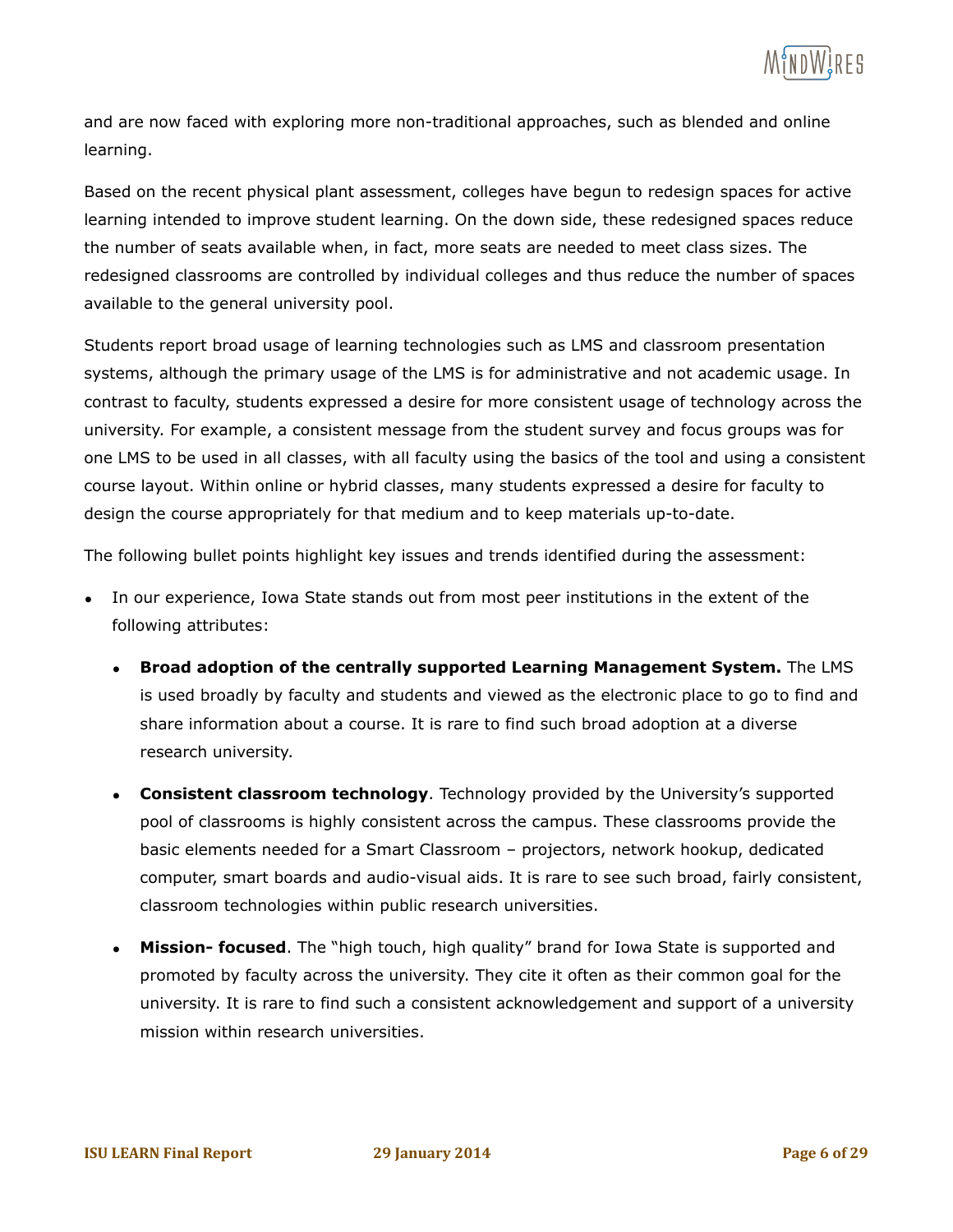

and are now faced with exploring more non-traditional approaches, such as blended and online learning.

Based on the recent physical plant assessment, colleges have begun to redesign spaces for active learning intended to improve student learning. On the down side, these redesigned spaces reduce the number of seats available when, in fact, more seats are needed to meet class sizes. The redesigned classrooms are controlled by individual colleges and thus reduce the number of spaces available to the general university pool.

Students report broad usage of learning technologies such as LMS and classroom presentation systems, although the primary usage of the LMS is for administrative and not academic usage. In contrast to faculty, students expressed a desire for more consistent usage of technology across the university. For example, a consistent message from the student survey and focus groups was for one LMS to be used in all classes, with all faculty using the basics of the tool and using a consistent course layout. Within online or hybrid classes, many students expressed a desire for faculty to design the course appropriately for that medium and to keep materials up-to-date.

The following bullet points highlight key issues and trends identified during the assessment:

- In our experience, Iowa State stands out from most peer institutions in the extent of the following attributes:
	- **Broad adoption of the centrally supported Learning Management System.** The LMS is used broadly by faculty and students and viewed as the electronic place to go to find and share information about a course. It is rare to find such broad adoption at a diverse research university.
	- **Consistent classroom technology**. Technology provided by the University's supported pool of classrooms is highly consistent across the campus. These classrooms provide the basic elements needed for a Smart Classroom – projectors, network hookup, dedicated computer, smart boards and audio-visual aids. It is rare to see such broad, fairly consistent, classroom technologies within public research universities.
	- **Mission- focused**. The "high touch, high quality" brand for Iowa State is supported and promoted by faculty across the university. They cite it often as their common goal for the university. It is rare to find such a consistent acknowledgement and support of a university mission within research universities.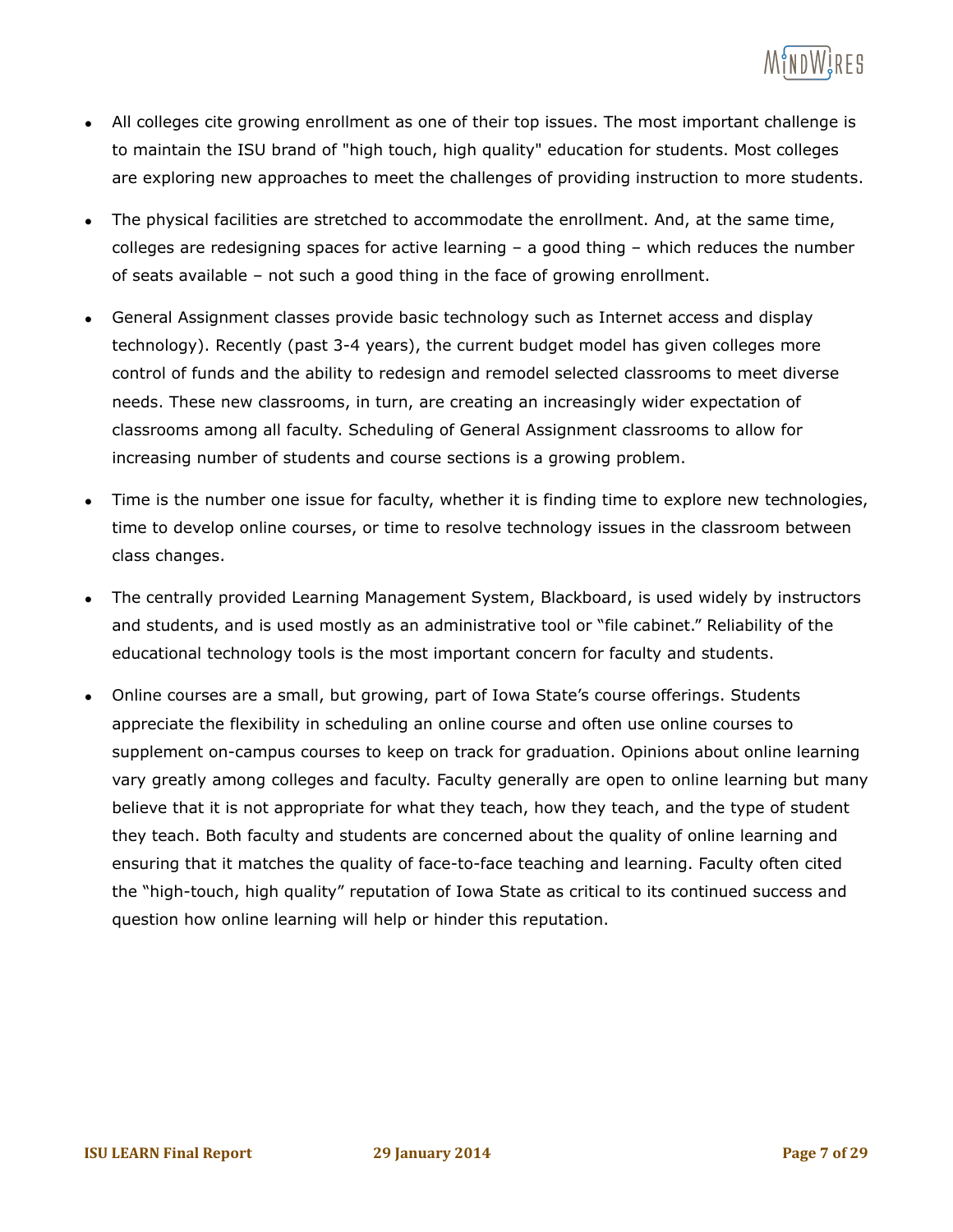

- All colleges cite growing enrollment as one of their top issues. The most important challenge is to maintain the ISU brand of "high touch, high quality" education for students. Most colleges are exploring new approaches to meet the challenges of providing instruction to more students.
- The physical facilities are stretched to accommodate the enrollment. And, at the same time, colleges are redesigning spaces for active learning – a good thing – which reduces the number of seats available – not such a good thing in the face of growing enrollment.
- General Assignment classes provide basic technology such as Internet access and display technology). Recently (past 3-4 years), the current budget model has given colleges more control of funds and the ability to redesign and remodel selected classrooms to meet diverse needs. These new classrooms, in turn, are creating an increasingly wider expectation of classrooms among all faculty. Scheduling of General Assignment classrooms to allow for increasing number of students and course sections is a growing problem.
- Time is the number one issue for faculty, whether it is finding time to explore new technologies, time to develop online courses, or time to resolve technology issues in the classroom between class changes.
- The centrally provided Learning Management System, Blackboard, is used widely by instructors and students, and is used mostly as an administrative tool or "file cabinet." Reliability of the educational technology tools is the most important concern for faculty and students.
- Online courses are a small, but growing, part of Iowa State's course offerings. Students appreciate the flexibility in scheduling an online course and often use online courses to supplement on-campus courses to keep on track for graduation. Opinions about online learning vary greatly among colleges and faculty. Faculty generally are open to online learning but many believe that it is not appropriate for what they teach, how they teach, and the type of student they teach. Both faculty and students are concerned about the quality of online learning and ensuring that it matches the quality of face-to-face teaching and learning. Faculty often cited the "high-touch, high quality" reputation of Iowa State as critical to its continued success and question how online learning will help or hinder this reputation.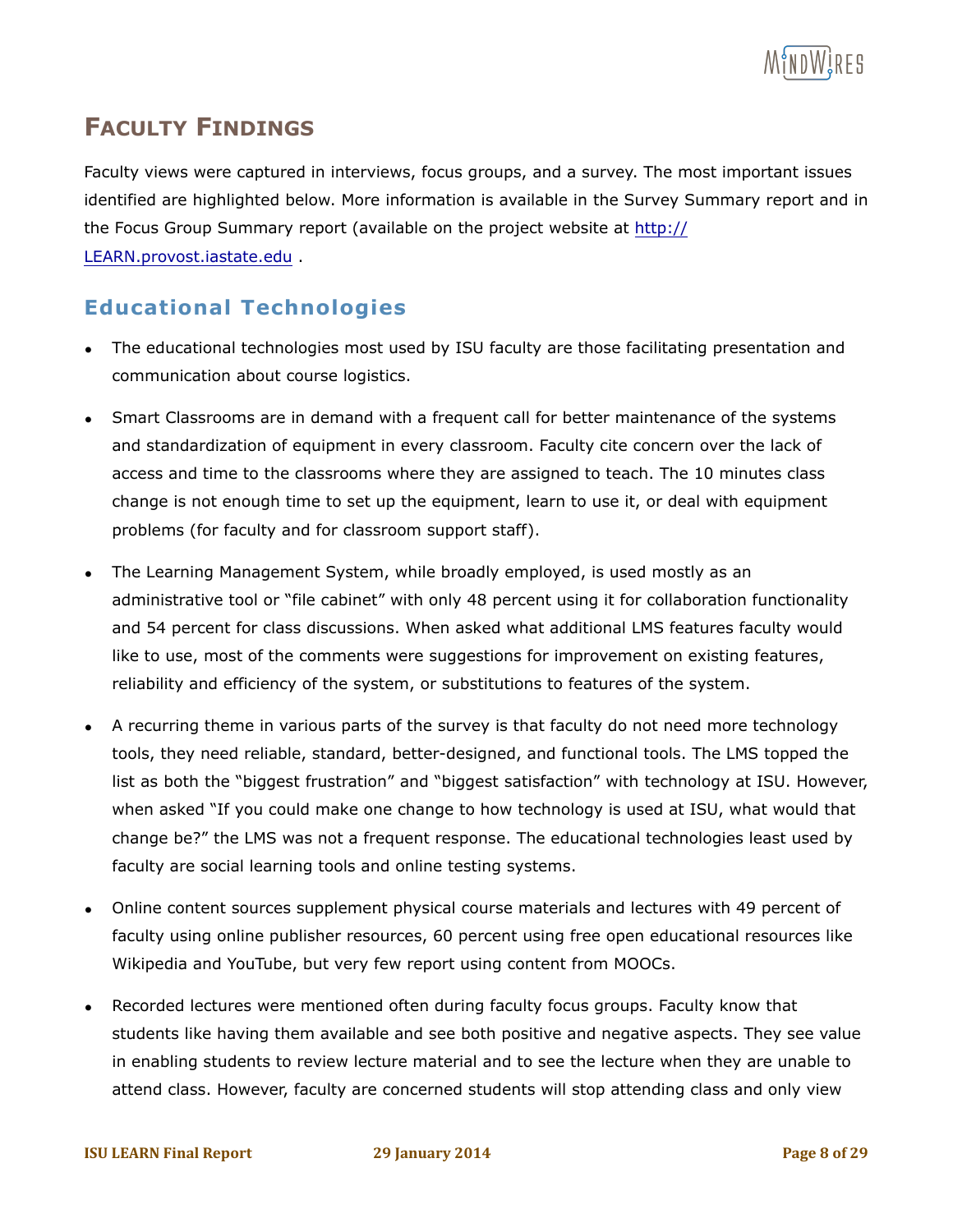

# **FACULTY FINDINGS**

Faculty views were captured in interviews, focus groups, and a survey. The most important issues identified are highlighted below. More information is available in the Survey Summary report and in the Focus Group Summary report (available on the project website at http:// LEARN.provost.iastate.edu .

#### **Educational Technologies**

- The educational technologies most used by ISU faculty are those facilitating presentation and communication about course logistics.
- Smart Classrooms are in demand with a frequent call for better maintenance of the systems and standardization of equipment in every classroom. Faculty cite concern over the lack of access and time to the classrooms where they are assigned to teach. The 10 minutes class change is not enough time to set up the equipment, learn to use it, or deal with equipment problems (for faculty and for classroom support staff).
- The Learning Management System, while broadly employed, is used mostly as an administrative tool or "file cabinet" with only 48 percent using it for collaboration functionality and 54 percent for class discussions. When asked what additional LMS features faculty would like to use, most of the comments were suggestions for improvement on existing features, reliability and efficiency of the system, or substitutions to features of the system.
- A recurring theme in various parts of the survey is that faculty do not need more technology tools, they need reliable, standard, better-designed, and functional tools. The LMS topped the list as both the "biggest frustration" and "biggest satisfaction" with technology at ISU. However, when asked "If you could make one change to how technology is used at ISU, what would that change be?" the LMS was not a frequent response. The educational technologies least used by faculty are social learning tools and online testing systems.
- Online content sources supplement physical course materials and lectures with 49 percent of faculty using online publisher resources, 60 percent using free open educational resources like Wikipedia and YouTube, but very few report using content from MOOCs.
- Recorded lectures were mentioned often during faculty focus groups. Faculty know that students like having them available and see both positive and negative aspects. They see value in enabling students to review lecture material and to see the lecture when they are unable to attend class. However, faculty are concerned students will stop attending class and only view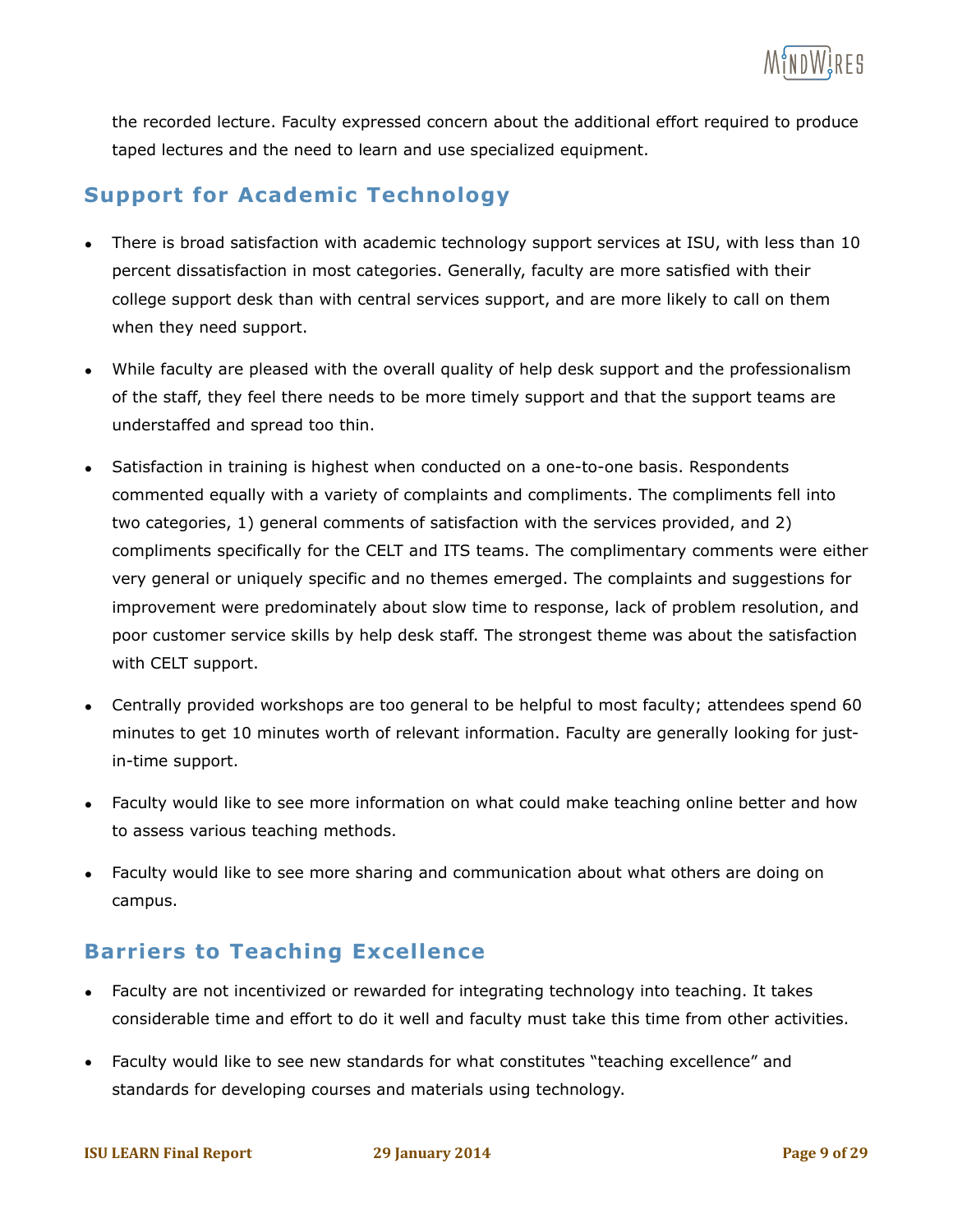the recorded lecture. Faculty expressed concern about the additional effort required to produce taped lectures and the need to learn and use specialized equipment.

# **Support for Academic Technology**

- There is broad satisfaction with academic technology support services at ISU, with less than 10 percent dissatisfaction in most categories. Generally, faculty are more satisfied with their college support desk than with central services support, and are more likely to call on them when they need support.
- While faculty are pleased with the overall quality of help desk support and the professionalism of the staff, they feel there needs to be more timely support and that the support teams are understaffed and spread too thin.
- Satisfaction in training is highest when conducted on a one-to-one basis. Respondents commented equally with a variety of complaints and compliments. The compliments fell into two categories, 1) general comments of satisfaction with the services provided, and 2) compliments specifically for the CELT and ITS teams. The complimentary comments were either very general or uniquely specific and no themes emerged. The complaints and suggestions for improvement were predominately about slow time to response, lack of problem resolution, and poor customer service skills by help desk staff. The strongest theme was about the satisfaction with CELT support.
- Centrally provided workshops are too general to be helpful to most faculty; attendees spend 60 minutes to get 10 minutes worth of relevant information. Faculty are generally looking for justin-time support.
- Faculty would like to see more information on what could make teaching online better and how to assess various teaching methods.
- Faculty would like to see more sharing and communication about what others are doing on campus.

# **Barriers to Teaching Excellence**

- Faculty are not incentivized or rewarded for integrating technology into teaching. It takes considerable time and effort to do it well and faculty must take this time from other activities.
- Faculty would like to see new standards for what constitutes "teaching excellence" and standards for developing courses and materials using technology.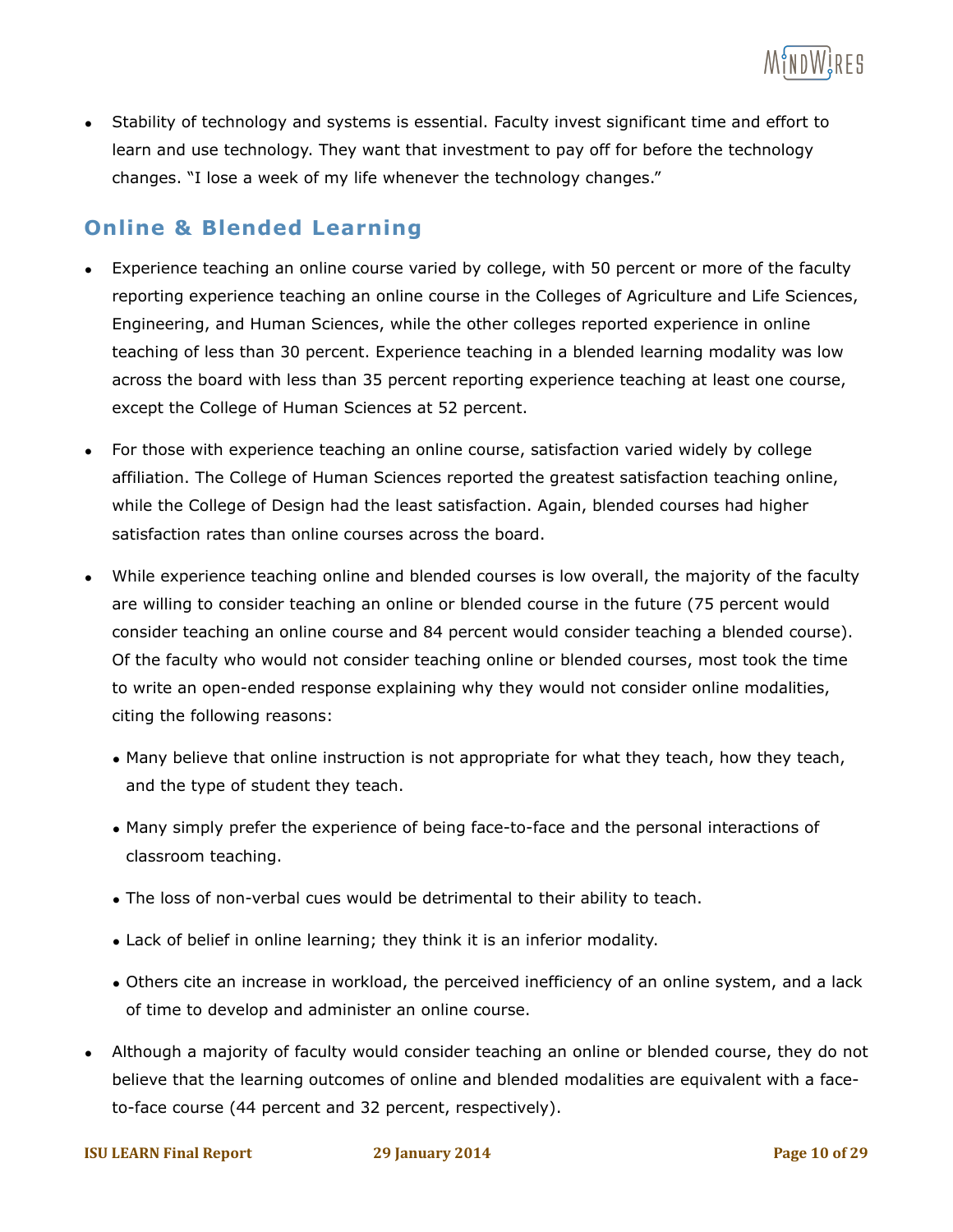

• Stability of technology and systems is essential. Faculty invest significant time and effort to learn and use technology. They want that investment to pay off for before the technology changes. "I lose a week of my life whenever the technology changes."

#### **Online & Blended Learning**

- Experience teaching an online course varied by college, with 50 percent or more of the faculty reporting experience teaching an online course in the Colleges of Agriculture and Life Sciences, Engineering, and Human Sciences, while the other colleges reported experience in online teaching of less than 30 percent. Experience teaching in a blended learning modality was low across the board with less than 35 percent reporting experience teaching at least one course, except the College of Human Sciences at 52 percent.
- For those with experience teaching an online course, satisfaction varied widely by college affiliation. The College of Human Sciences reported the greatest satisfaction teaching online, while the College of Design had the least satisfaction. Again, blended courses had higher satisfaction rates than online courses across the board.
- While experience teaching online and blended courses is low overall, the majority of the faculty are willing to consider teaching an online or blended course in the future (75 percent would consider teaching an online course and 84 percent would consider teaching a blended course). Of the faculty who would not consider teaching online or blended courses, most took the time to write an open-ended response explaining why they would not consider online modalities, citing the following reasons:
	- Many believe that online instruction is not appropriate for what they teach, how they teach, and the type of student they teach.
	- Many simply prefer the experience of being face-to-face and the personal interactions of classroom teaching.
	- The loss of non-verbal cues would be detrimental to their ability to teach.
	- Lack of belief in online learning; they think it is an inferior modality.
	- Others cite an increase in workload, the perceived inefficiency of an online system, and a lack of time to develop and administer an online course.
- Although a majority of faculty would consider teaching an online or blended course, they do not believe that the learning outcomes of online and blended modalities are equivalent with a faceto-face course (44 percent and 32 percent, respectively).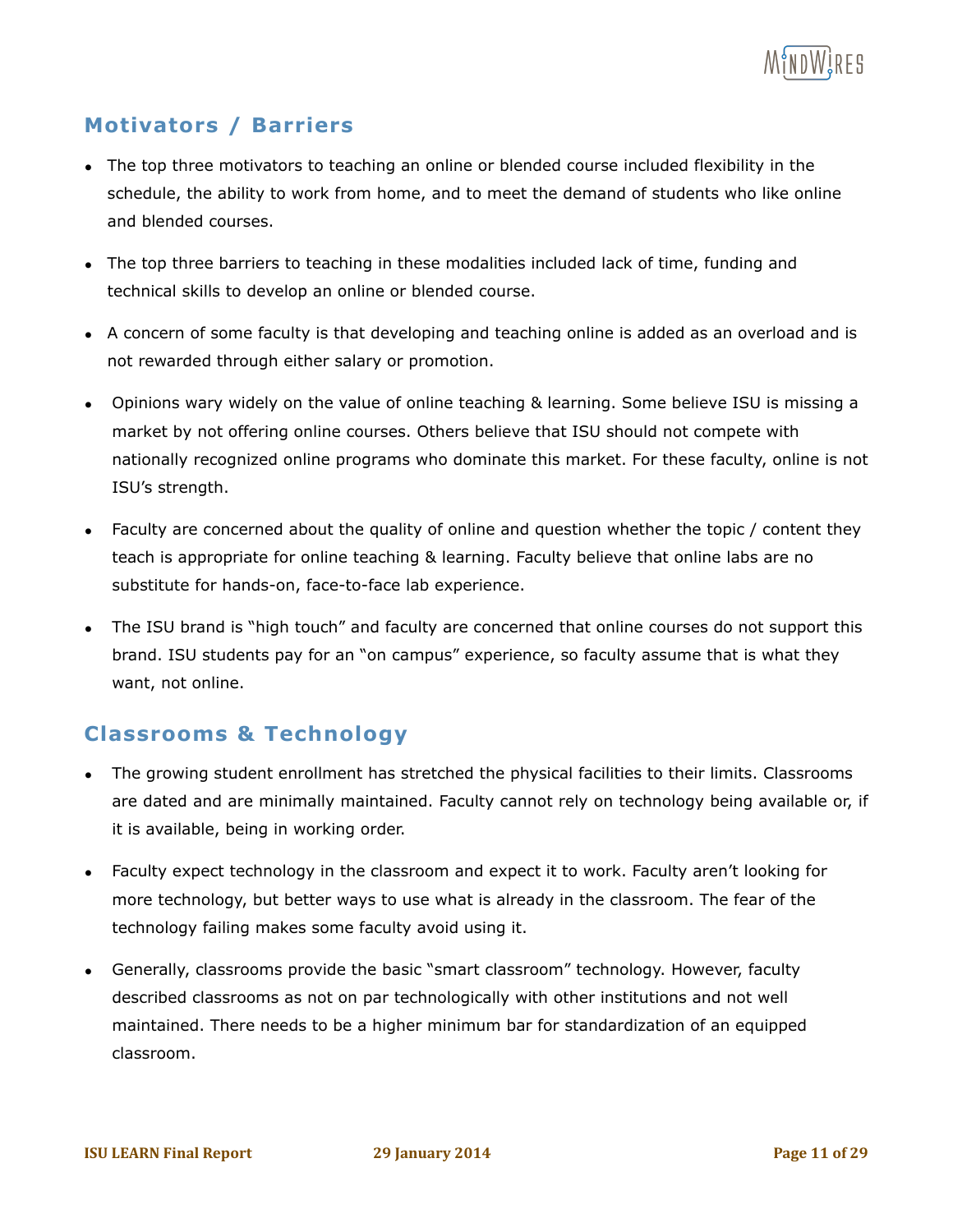

### **Motivators / Barriers**

- The top three motivators to teaching an online or blended course included flexibility in the schedule, the ability to work from home, and to meet the demand of students who like online and blended courses.
- The top three barriers to teaching in these modalities included lack of time, funding and technical skills to develop an online or blended course.
- A concern of some faculty is that developing and teaching online is added as an overload and is not rewarded through either salary or promotion.
- Opinions wary widely on the value of online teaching & learning. Some believe ISU is missing a market by not offering online courses. Others believe that ISU should not compete with nationally recognized online programs who dominate this market. For these faculty, online is not ISU's strength.
- Faculty are concerned about the quality of online and question whether the topic / content they teach is appropriate for online teaching & learning. Faculty believe that online labs are no substitute for hands-on, face-to-face lab experience.
- The ISU brand is "high touch" and faculty are concerned that online courses do not support this brand. ISU students pay for an "on campus" experience, so faculty assume that is what they want, not online.

#### **Classrooms & Technology**

- The growing student enrollment has stretched the physical facilities to their limits. Classrooms are dated and are minimally maintained. Faculty cannot rely on technology being available or, if it is available, being in working order.
- Faculty expect technology in the classroom and expect it to work. Faculty aren't looking for more technology, but better ways to use what is already in the classroom. The fear of the technology failing makes some faculty avoid using it.
- Generally, classrooms provide the basic "smart classroom" technology. However, faculty described classrooms as not on par technologically with other institutions and not well maintained. There needs to be a higher minimum bar for standardization of an equipped classroom.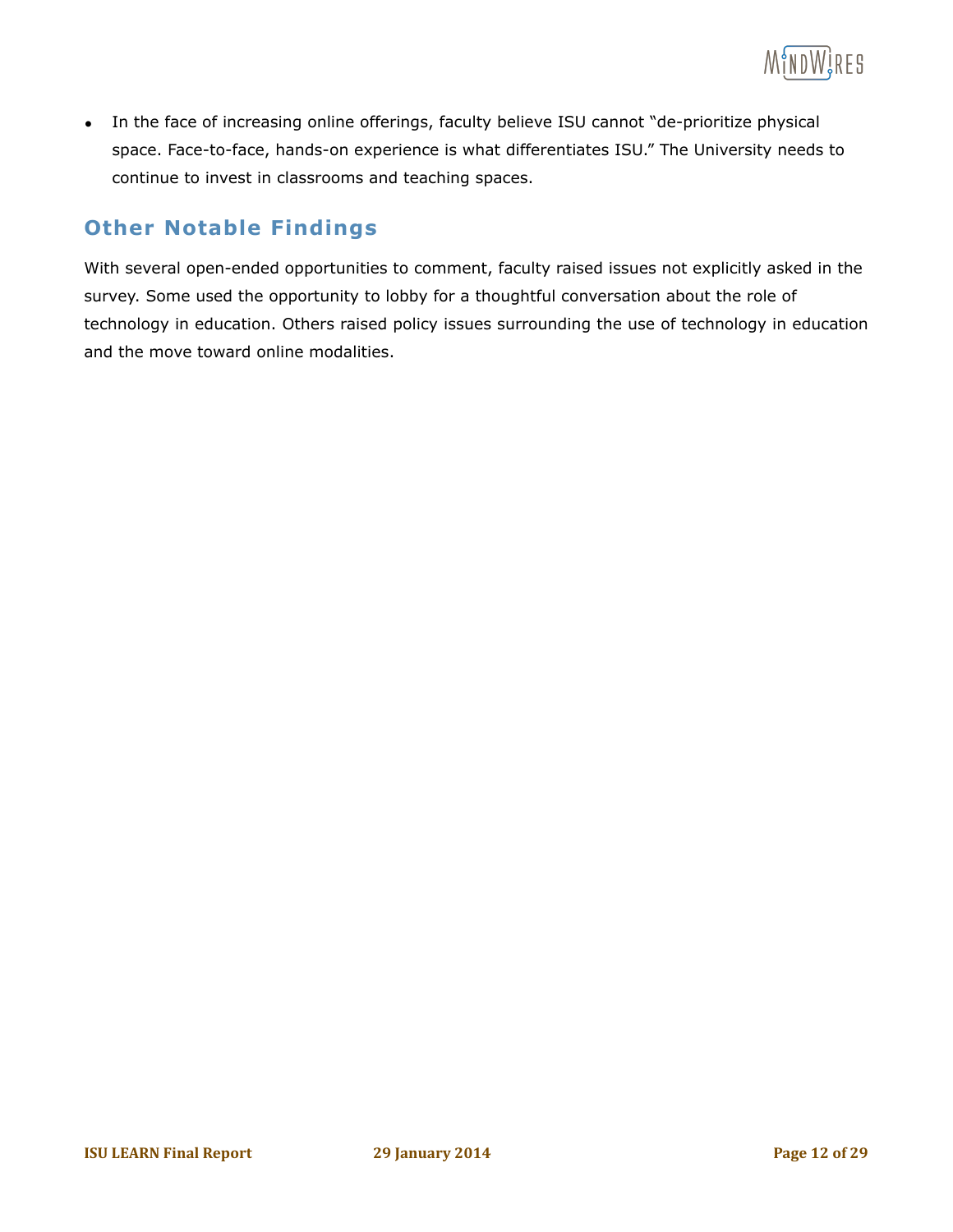

• In the face of increasing online offerings, faculty believe ISU cannot "de-prioritize physical space. Face-to-face, hands-on experience is what differentiates ISU." The University needs to continue to invest in classrooms and teaching spaces.

#### **Other Notable Findings**

With several open-ended opportunities to comment, faculty raised issues not explicitly asked in the survey. Some used the opportunity to lobby for a thoughtful conversation about the role of technology in education. Others raised policy issues surrounding the use of technology in education and the move toward online modalities.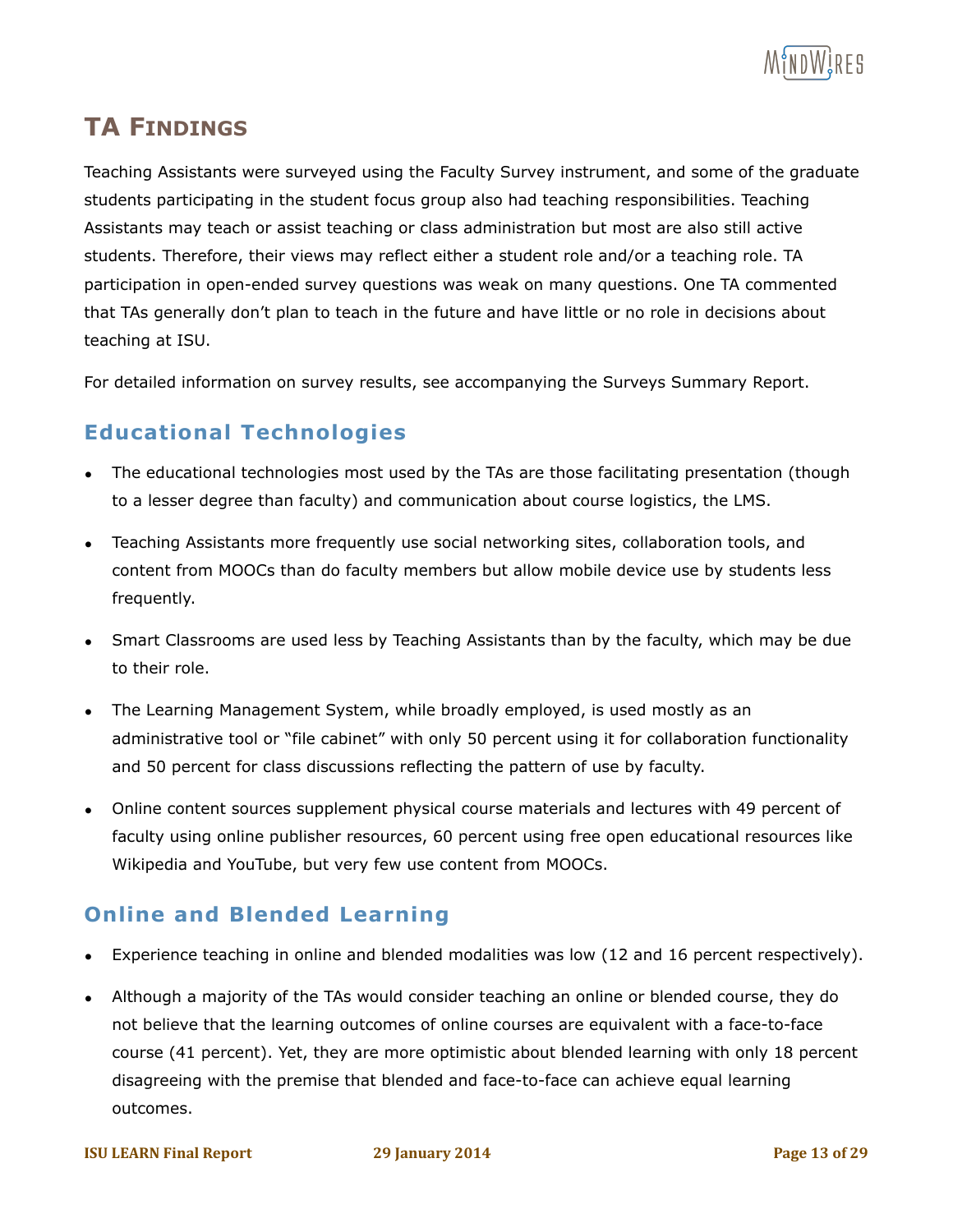

# **TA FINDINGS**

Teaching Assistants were surveyed using the Faculty Survey instrument, and some of the graduate students participating in the student focus group also had teaching responsibilities. Teaching Assistants may teach or assist teaching or class administration but most are also still active students. Therefore, their views may reflect either a student role and/or a teaching role. TA participation in open-ended survey questions was weak on many questions. One TA commented that TAs generally don't plan to teach in the future and have little or no role in decisions about teaching at ISU.

For detailed information on survey results, see accompanying the Surveys Summary Report.

#### **Educational Technologies**

- The educational technologies most used by the TAs are those facilitating presentation (though to a lesser degree than faculty) and communication about course logistics, the LMS.
- Teaching Assistants more frequently use social networking sites, collaboration tools, and content from MOOCs than do faculty members but allow mobile device use by students less frequently.
- Smart Classrooms are used less by Teaching Assistants than by the faculty, which may be due to their role.
- The Learning Management System, while broadly employed, is used mostly as an administrative tool or "file cabinet" with only 50 percent using it for collaboration functionality and 50 percent for class discussions reflecting the pattern of use by faculty.
- Online content sources supplement physical course materials and lectures with 49 percent of faculty using online publisher resources, 60 percent using free open educational resources like Wikipedia and YouTube, but very few use content from MOOCs.

#### **Online and Blended Learning**

- Experience teaching in online and blended modalities was low (12 and 16 percent respectively).
- Although a majority of the TAs would consider teaching an online or blended course, they do not believe that the learning outcomes of online courses are equivalent with a face-to-face course (41 percent). Yet, they are more optimistic about blended learning with only 18 percent disagreeing with the premise that blended and face-to-face can achieve equal learning outcomes.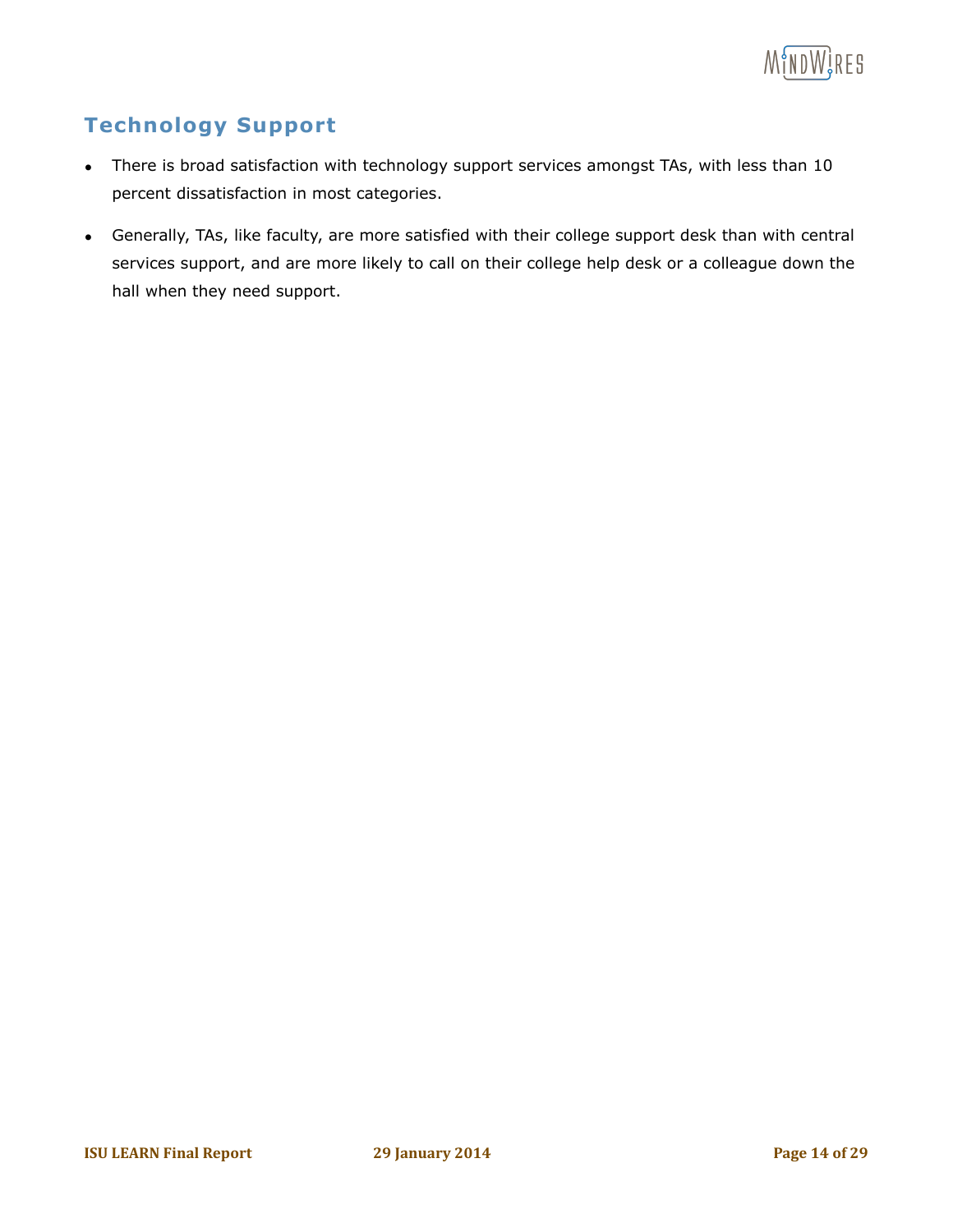

# **Technology Support**

- There is broad satisfaction with technology support services amongst TAs, with less than 10 percent dissatisfaction in most categories.
- Generally, TAs, like faculty, are more satisfied with their college support desk than with central services support, and are more likely to call on their college help desk or a colleague down the hall when they need support.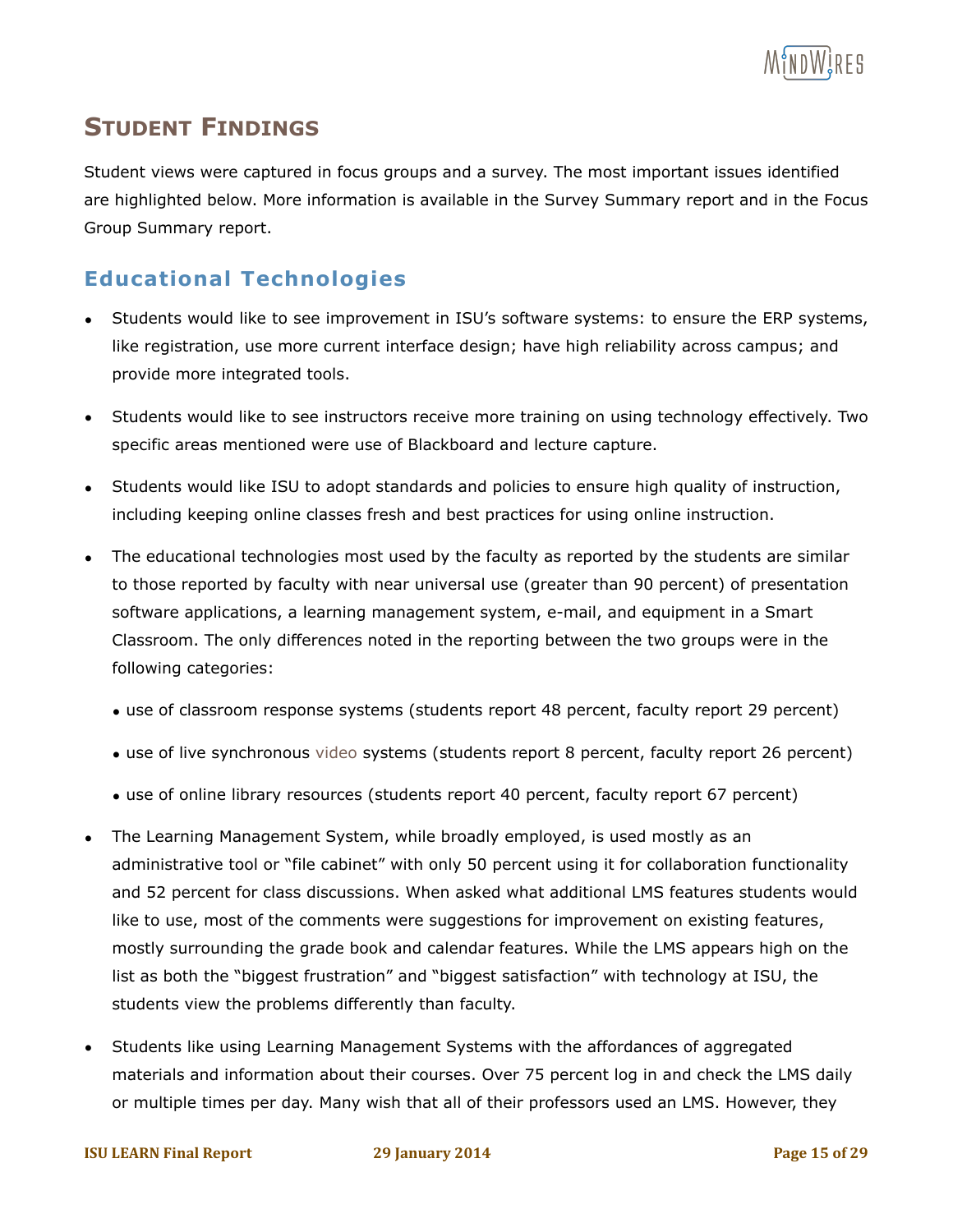

# **STUDENT FINDINGS**

Student views were captured in focus groups and a survey. The most important issues identified are highlighted below. More information is available in the Survey Summary report and in the Focus Group Summary report.

#### **Educational Technologies**

- Students would like to see improvement in ISU's software systems: to ensure the ERP systems, like registration, use more current interface design; have high reliability across campus; and provide more integrated tools.
- Students would like to see instructors receive more training on using technology effectively. Two specific areas mentioned were use of Blackboard and lecture capture.
- Students would like ISU to adopt standards and policies to ensure high quality of instruction, including keeping online classes fresh and best practices for using online instruction.
- The educational technologies most used by the faculty as reported by the students are similar to those reported by faculty with near universal use (greater than 90 percent) of presentation software applications, a learning management system, e-mail, and equipment in a Smart Classroom. The only differences noted in the reporting between the two groups were in the following categories:
	- use of classroom response systems (students report 48 percent, faculty report 29 percent)
	- use of live synchronous video systems (students report 8 percent, faculty report 26 percent)
	- use of online library resources (students report 40 percent, faculty report 67 percent)
- The Learning Management System, while broadly employed, is used mostly as an administrative tool or "file cabinet" with only 50 percent using it for collaboration functionality and 52 percent for class discussions. When asked what additional LMS features students would like to use, most of the comments were suggestions for improvement on existing features, mostly surrounding the grade book and calendar features. While the LMS appears high on the list as both the "biggest frustration" and "biggest satisfaction" with technology at ISU, the students view the problems differently than faculty.
- Students like using Learning Management Systems with the affordances of aggregated materials and information about their courses. Over 75 percent log in and check the LMS daily or multiple times per day. Many wish that all of their professors used an LMS. However, they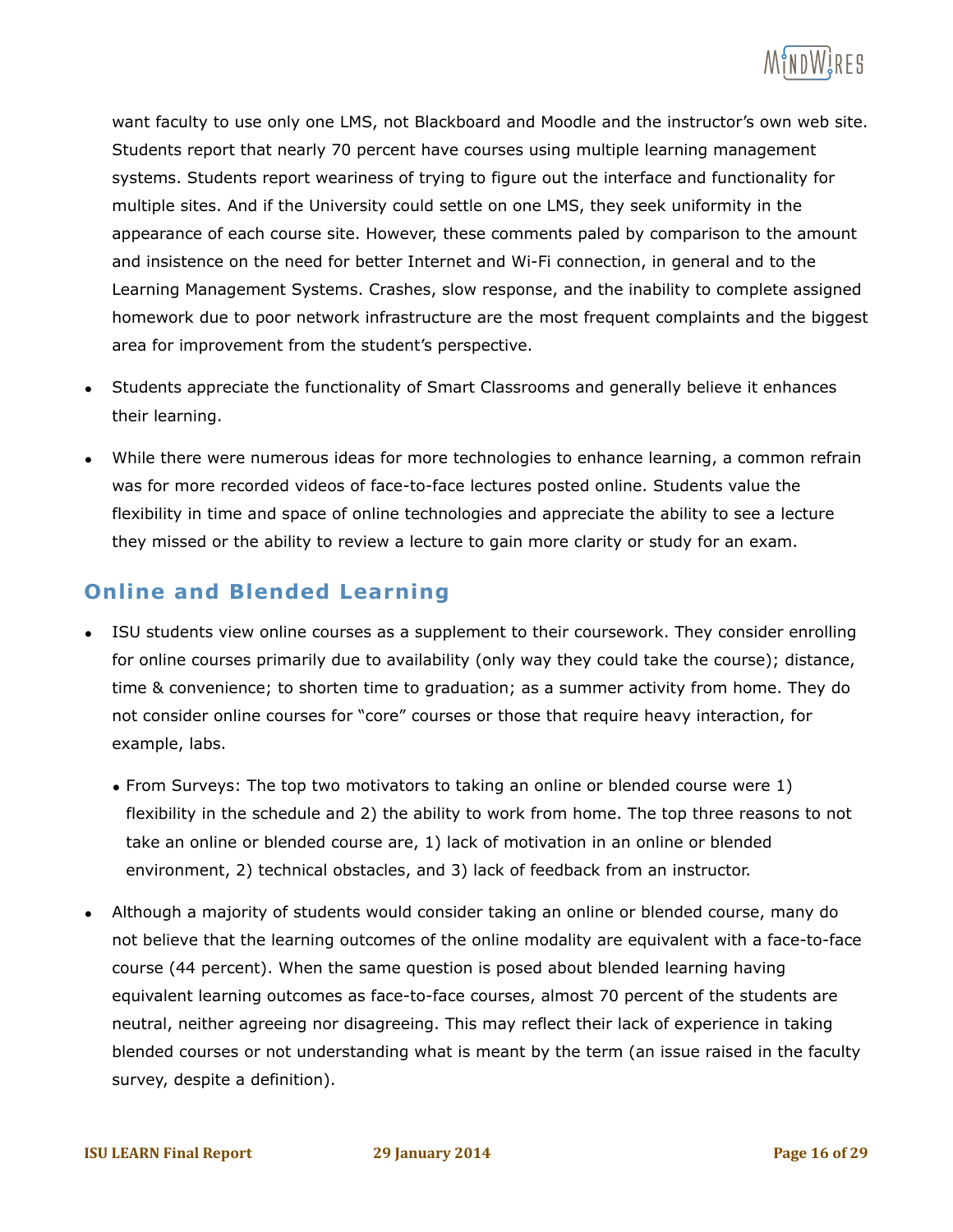

want faculty to use only one LMS, not Blackboard and Moodle and the instructor's own web site. Students report that nearly 70 percent have courses using multiple learning management systems. Students report weariness of trying to figure out the interface and functionality for multiple sites. And if the University could settle on one LMS, they seek uniformity in the appearance of each course site. However, these comments paled by comparison to the amount and insistence on the need for better Internet and Wi-Fi connection, in general and to the Learning Management Systems. Crashes, slow response, and the inability to complete assigned homework due to poor network infrastructure are the most frequent complaints and the biggest area for improvement from the student's perspective.

- Students appreciate the functionality of Smart Classrooms and generally believe it enhances their learning.
- While there were numerous ideas for more technologies to enhance learning, a common refrain was for more recorded videos of face-to-face lectures posted online. Students value the flexibility in time and space of online technologies and appreciate the ability to see a lecture they missed or the ability to review a lecture to gain more clarity or study for an exam.

#### **Online and Blended Learning**

- ISU students view online courses as a supplement to their coursework. They consider enrolling for online courses primarily due to availability (only way they could take the course); distance, time & convenience; to shorten time to graduation; as a summer activity from home. They do not consider online courses for "core" courses or those that require heavy interaction, for example, labs.
	- From Surveys: The top two motivators to taking an online or blended course were 1) flexibility in the schedule and 2) the ability to work from home. The top three reasons to not take an online or blended course are, 1) lack of motivation in an online or blended environment, 2) technical obstacles, and 3) lack of feedback from an instructor.
- Although a majority of students would consider taking an online or blended course, many do not believe that the learning outcomes of the online modality are equivalent with a face-to-face course (44 percent). When the same question is posed about blended learning having equivalent learning outcomes as face-to-face courses, almost 70 percent of the students are neutral, neither agreeing nor disagreeing. This may reflect their lack of experience in taking blended courses or not understanding what is meant by the term (an issue raised in the faculty survey, despite a definition).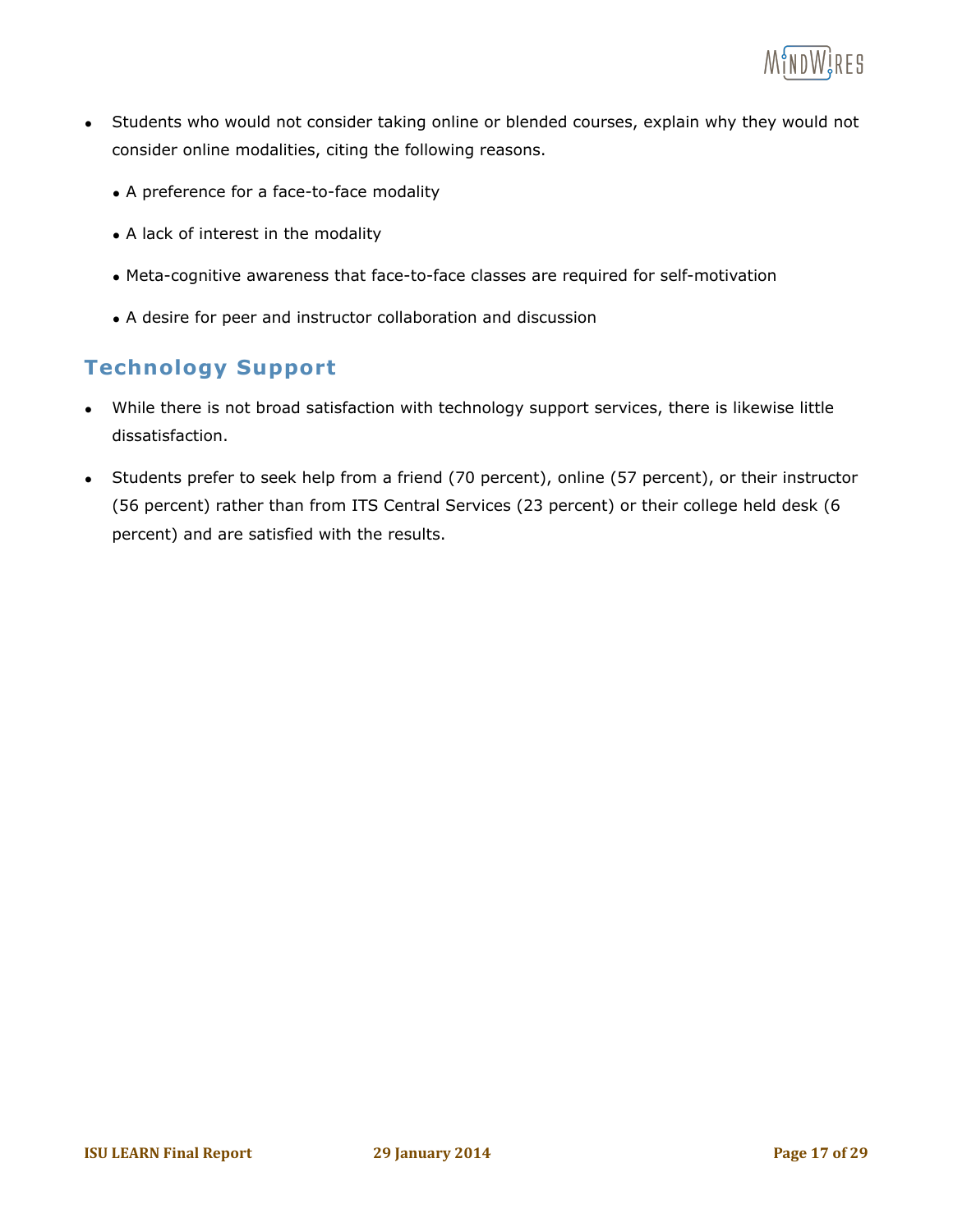

- Students who would not consider taking online or blended courses, explain why they would not consider online modalities, citing the following reasons.
	- A preference for a face-to-face modality
	- A lack of interest in the modality
	- Meta-cognitive awareness that face-to-face classes are required for self-motivation
	- A desire for peer and instructor collaboration and discussion

#### **Technology Support**

- While there is not broad satisfaction with technology support services, there is likewise little dissatisfaction.
- Students prefer to seek help from a friend (70 percent), online (57 percent), or their instructor (56 percent) rather than from ITS Central Services (23 percent) or their college held desk (6 percent) and are satisfied with the results.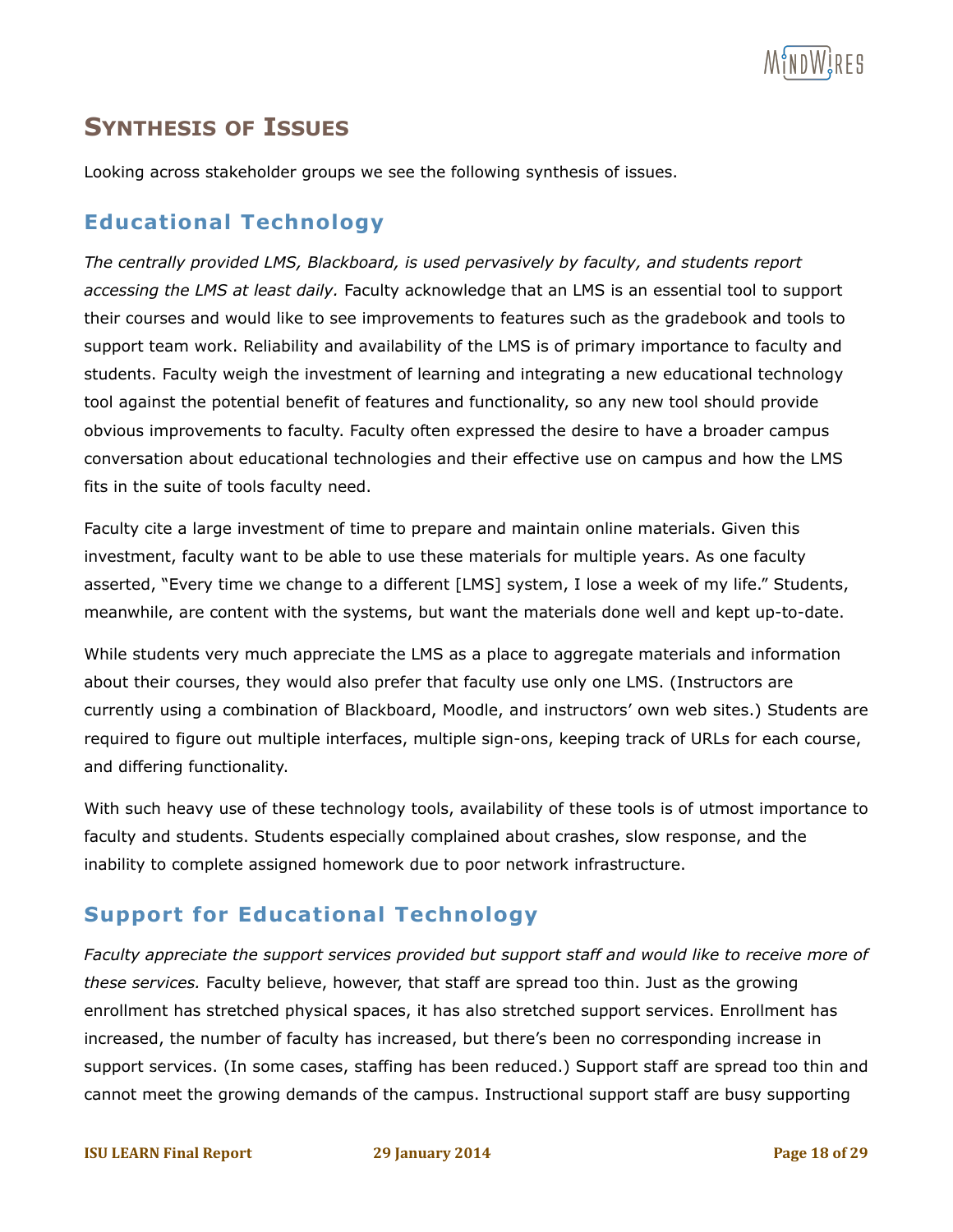

# **SYNTHESIS OF ISSUES**

Looking across stakeholder groups we see the following synthesis of issues.

#### **Educational Technology**

*The centrally provided LMS, Blackboard, is used pervasively by faculty, and students report accessing the LMS at least daily.* Faculty acknowledge that an LMS is an essential tool to support their courses and would like to see improvements to features such as the gradebook and tools to support team work. Reliability and availability of the LMS is of primary importance to faculty and students. Faculty weigh the investment of learning and integrating a new educational technology tool against the potential benefit of features and functionality, so any new tool should provide obvious improvements to faculty. Faculty often expressed the desire to have a broader campus conversation about educational technologies and their effective use on campus and how the LMS fits in the suite of tools faculty need.

Faculty cite a large investment of time to prepare and maintain online materials. Given this investment, faculty want to be able to use these materials for multiple years. As one faculty asserted, "Every time we change to a different [LMS] system, I lose a week of my life." Students, meanwhile, are content with the systems, but want the materials done well and kept up-to-date.

While students very much appreciate the LMS as a place to aggregate materials and information about their courses, they would also prefer that faculty use only one LMS. (Instructors are currently using a combination of Blackboard, Moodle, and instructors' own web sites.) Students are required to figure out multiple interfaces, multiple sign-ons, keeping track of URLs for each course, and differing functionality.

With such heavy use of these technology tools, availability of these tools is of utmost importance to faculty and students. Students especially complained about crashes, slow response, and the inability to complete assigned homework due to poor network infrastructure.

#### **Support for Educational Technology**

*Faculty appreciate the support services provided but support staff and would like to receive more of these services.* Faculty believe, however, that staff are spread too thin. Just as the growing enrollment has stretched physical spaces, it has also stretched support services. Enrollment has increased, the number of faculty has increased, but there's been no corresponding increase in support services. (In some cases, staffing has been reduced.) Support staff are spread too thin and cannot meet the growing demands of the campus. Instructional support staff are busy supporting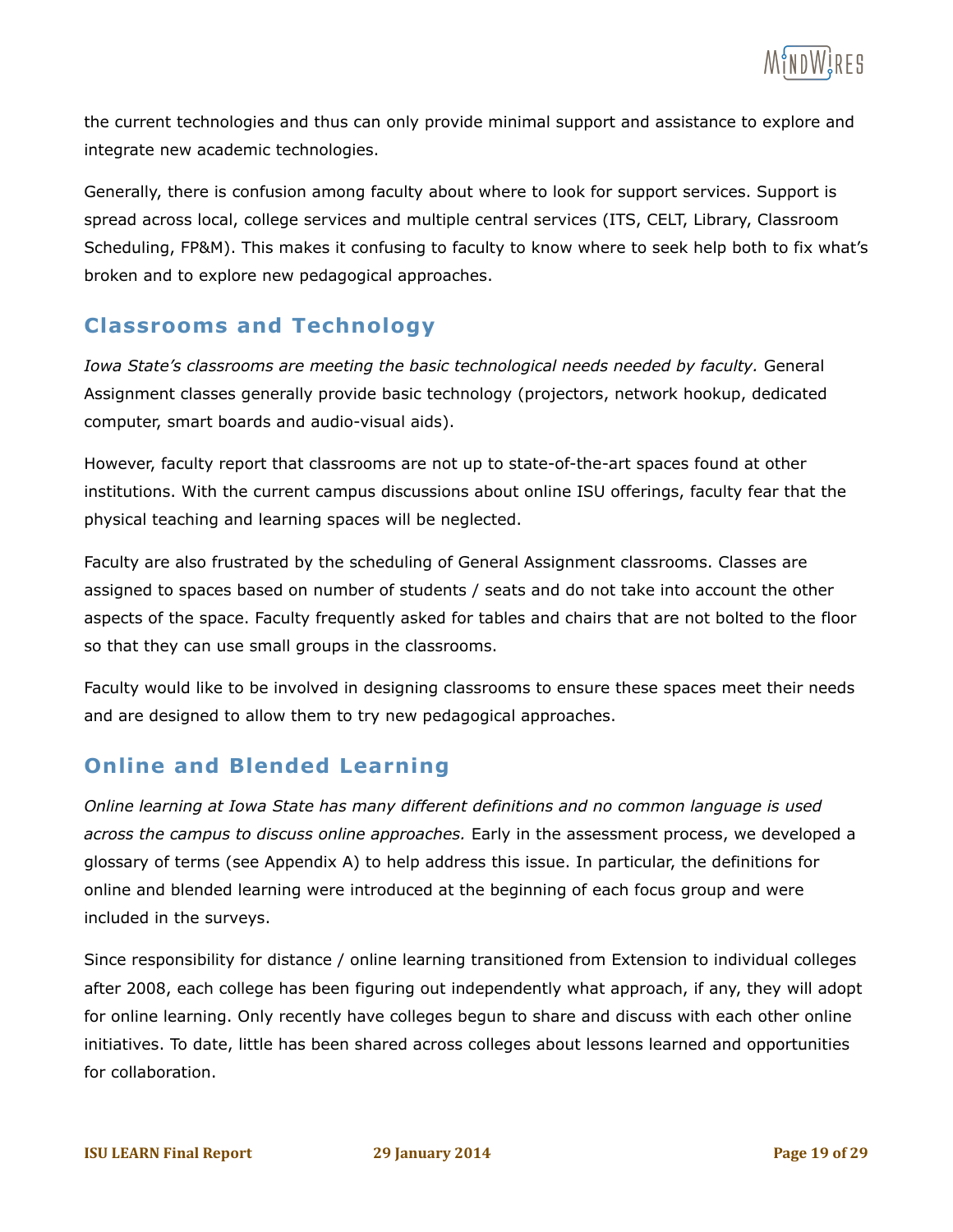

the current technologies and thus can only provide minimal support and assistance to explore and integrate new academic technologies.

Generally, there is confusion among faculty about where to look for support services. Support is spread across local, college services and multiple central services (ITS, CELT, Library, Classroom Scheduling, FP&M). This makes it confusing to faculty to know where to seek help both to fix what's broken and to explore new pedagogical approaches.

#### **Classrooms and Technology**

*Iowa State's classrooms are meeting the basic technological needs needed by faculty.* General Assignment classes generally provide basic technology (projectors, network hookup, dedicated computer, smart boards and audio-visual aids).

However, faculty report that classrooms are not up to state-of-the-art spaces found at other institutions. With the current campus discussions about online ISU offerings, faculty fear that the physical teaching and learning spaces will be neglected.

Faculty are also frustrated by the scheduling of General Assignment classrooms. Classes are assigned to spaces based on number of students / seats and do not take into account the other aspects of the space. Faculty frequently asked for tables and chairs that are not bolted to the floor so that they can use small groups in the classrooms.

Faculty would like to be involved in designing classrooms to ensure these spaces meet their needs and are designed to allow them to try new pedagogical approaches.

#### **Online and Blended Learning**

*Online learning at Iowa State has many different definitions and no common language is used across the campus to discuss online approaches.* Early in the assessment process, we developed a glossary of terms (see Appendix A) to help address this issue. In particular, the definitions for online and blended learning were introduced at the beginning of each focus group and were included in the surveys.

Since responsibility for distance / online learning transitioned from Extension to individual colleges after 2008, each college has been figuring out independently what approach, if any, they will adopt for online learning. Only recently have colleges begun to share and discuss with each other online initiatives. To date, little has been shared across colleges about lessons learned and opportunities for collaboration.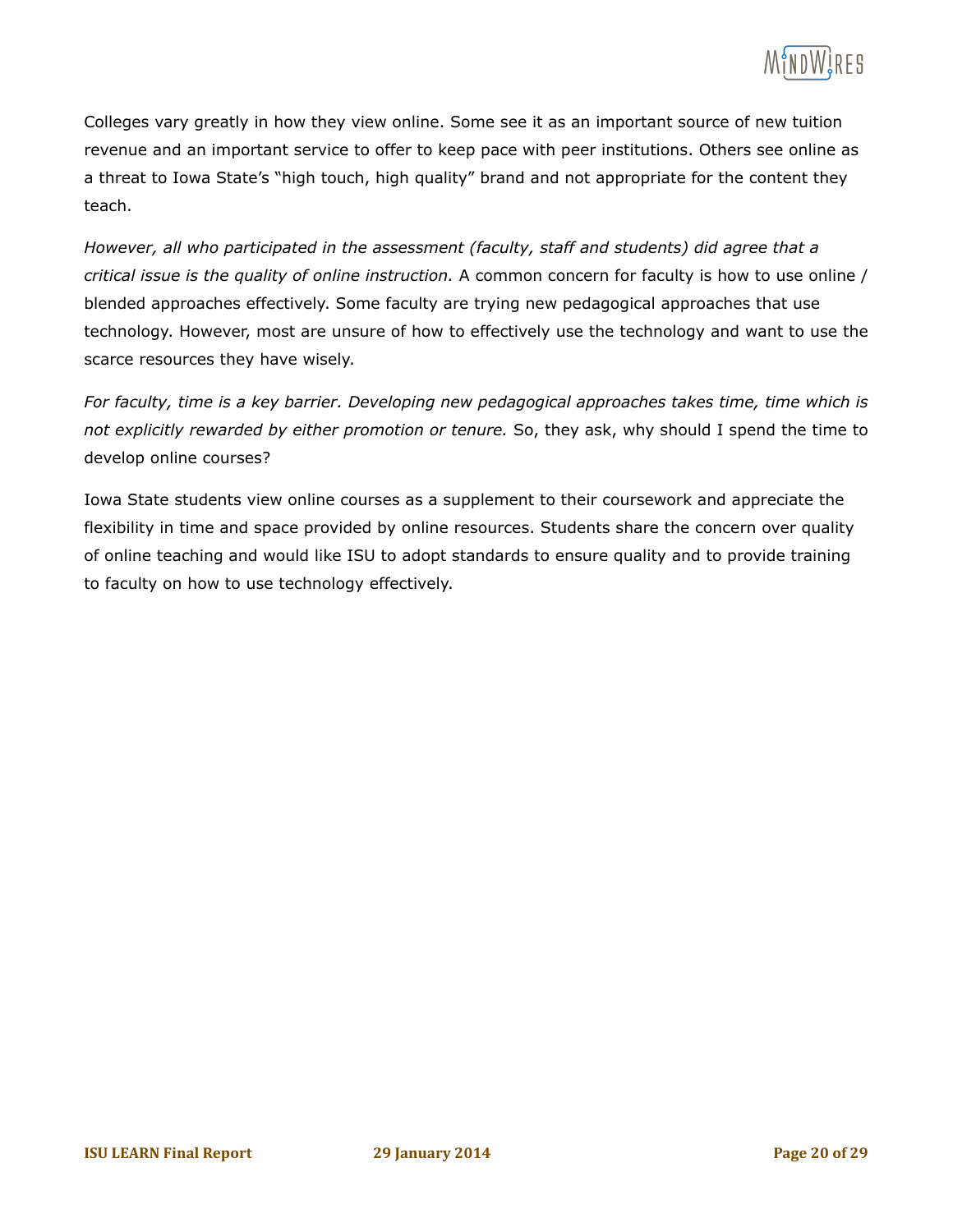

Colleges vary greatly in how they view online. Some see it as an important source of new tuition revenue and an important service to offer to keep pace with peer institutions. Others see online as a threat to Iowa State's "high touch, high quality" brand and not appropriate for the content they teach.

*However, all who participated in the assessment (faculty, staff and students) did agree that a critical issue is the quality of online instruction.* A common concern for faculty is how to use online / blended approaches effectively. Some faculty are trying new pedagogical approaches that use technology. However, most are unsure of how to effectively use the technology and want to use the scarce resources they have wisely.

*For faculty, time is a key barrier. Developing new pedagogical approaches takes time, time which is not explicitly rewarded by either promotion or tenure.* So, they ask, why should I spend the time to develop online courses?

Iowa State students view online courses as a supplement to their coursework and appreciate the flexibility in time and space provided by online resources. Students share the concern over quality of online teaching and would like ISU to adopt standards to ensure quality and to provide training to faculty on how to use technology effectively.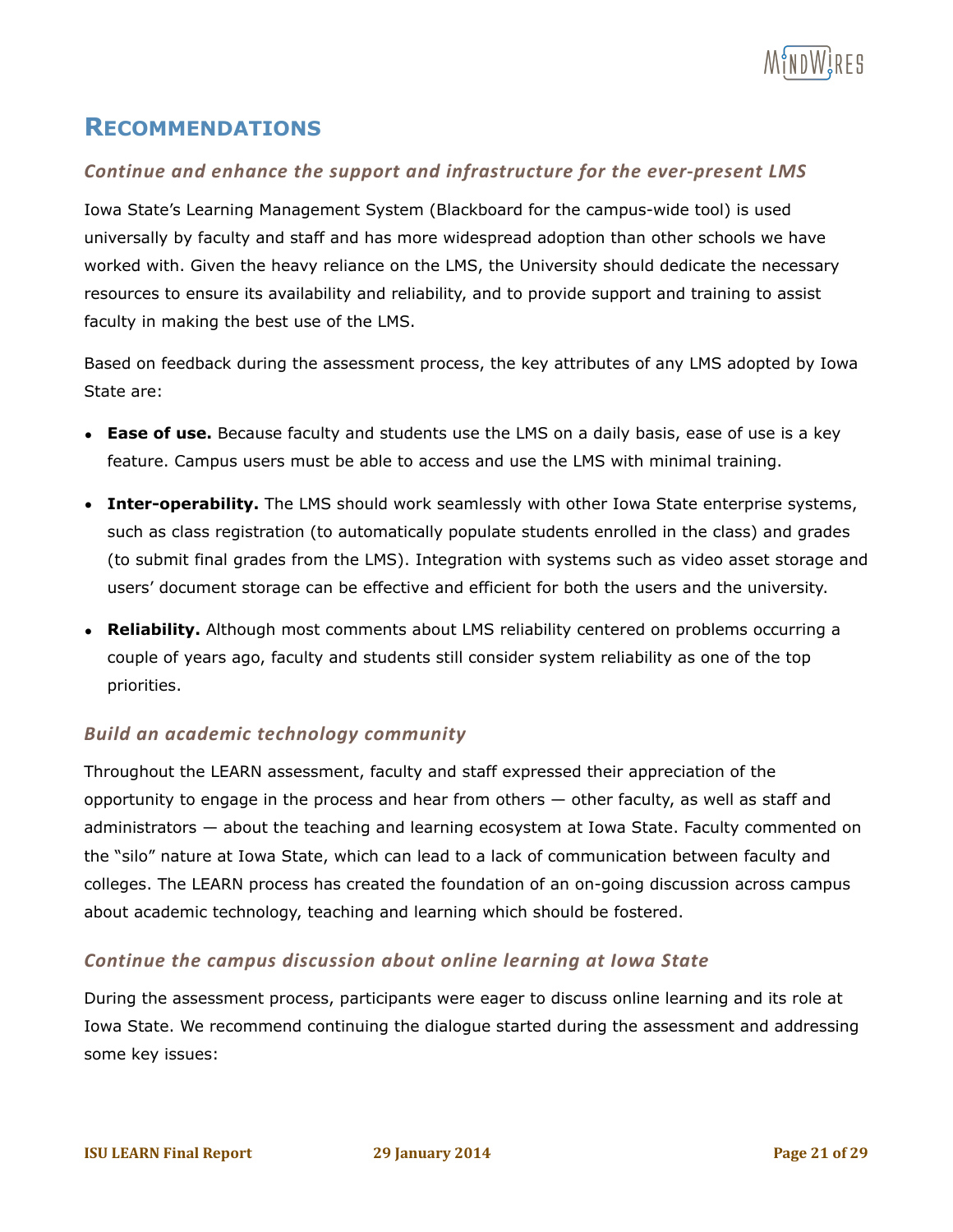

### **RECOMMENDATIONS**

#### **Continue and enhance the support and infrastructure for the ever-present LMS**

Iowa State's Learning Management System (Blackboard for the campus-wide tool) is used universally by faculty and staff and has more widespread adoption than other schools we have worked with. Given the heavy reliance on the LMS, the University should dedicate the necessary resources to ensure its availability and reliability, and to provide support and training to assist faculty in making the best use of the LMS.

Based on feedback during the assessment process, the key attributes of any LMS adopted by Iowa State are:

- **Ease of use.** Because faculty and students use the LMS on a daily basis, ease of use is a key feature. Campus users must be able to access and use the LMS with minimal training.
- **Inter-operability.** The LMS should work seamlessly with other Iowa State enterprise systems, such as class registration (to automatically populate students enrolled in the class) and grades (to submit final grades from the LMS). Integration with systems such as video asset storage and users' document storage can be effective and efficient for both the users and the university.
- **Reliability.** Although most comments about LMS reliability centered on problems occurring a couple of years ago, faculty and students still consider system reliability as one of the top priorities.

#### **Build an academic technology community**

Throughout the LEARN assessment, faculty and staff expressed their appreciation of the opportunity to engage in the process and hear from others — other faculty, as well as staff and administrators — about the teaching and learning ecosystem at Iowa State. Faculty commented on the "silo" nature at Iowa State, which can lead to a lack of communication between faculty and colleges. The LEARN process has created the foundation of an on-going discussion across campus about academic technology, teaching and learning which should be fostered.

#### *Continue the campus discussion about online learning at lowa State*

During the assessment process, participants were eager to discuss online learning and its role at Iowa State. We recommend continuing the dialogue started during the assessment and addressing some key issues: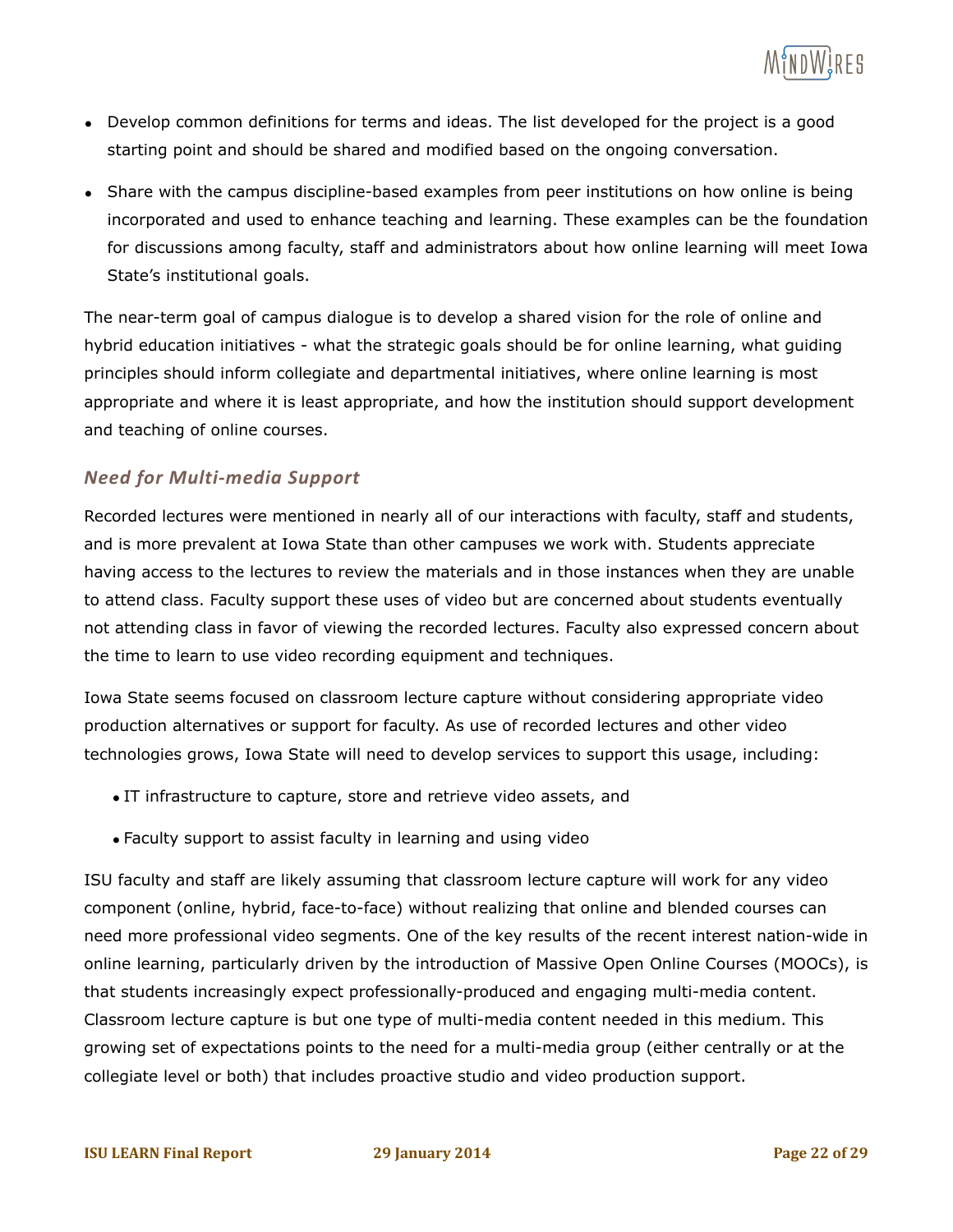

- Develop common definitions for terms and ideas. The list developed for the project is a good starting point and should be shared and modified based on the ongoing conversation.
- Share with the campus discipline-based examples from peer institutions on how online is being incorporated and used to enhance teaching and learning. These examples can be the foundation for discussions among faculty, staff and administrators about how online learning will meet Iowa State's institutional goals.

The near-term goal of campus dialogue is to develop a shared vision for the role of online and hybrid education initiatives - what the strategic goals should be for online learning, what guiding principles should inform collegiate and departmental initiatives, where online learning is most appropriate and where it is least appropriate, and how the institution should support development and teaching of online courses.

#### *Need for Multi-media Support*

Recorded lectures were mentioned in nearly all of our interactions with faculty, staff and students, and is more prevalent at Iowa State than other campuses we work with. Students appreciate having access to the lectures to review the materials and in those instances when they are unable to attend class. Faculty support these uses of video but are concerned about students eventually not attending class in favor of viewing the recorded lectures. Faculty also expressed concern about the time to learn to use video recording equipment and techniques.

Iowa State seems focused on classroom lecture capture without considering appropriate video production alternatives or support for faculty. As use of recorded lectures and other video technologies grows, Iowa State will need to develop services to support this usage, including:

- IT infrastructure to capture, store and retrieve video assets, and
- Faculty support to assist faculty in learning and using video

ISU faculty and staff are likely assuming that classroom lecture capture will work for any video component (online, hybrid, face-to-face) without realizing that online and blended courses can need more professional video segments. One of the key results of the recent interest nation-wide in online learning, particularly driven by the introduction of Massive Open Online Courses (MOOCs), is that students increasingly expect professionally-produced and engaging multi-media content. Classroom lecture capture is but one type of multi-media content needed in this medium. This growing set of expectations points to the need for a multi-media group (either centrally or at the collegiate level or both) that includes proactive studio and video production support.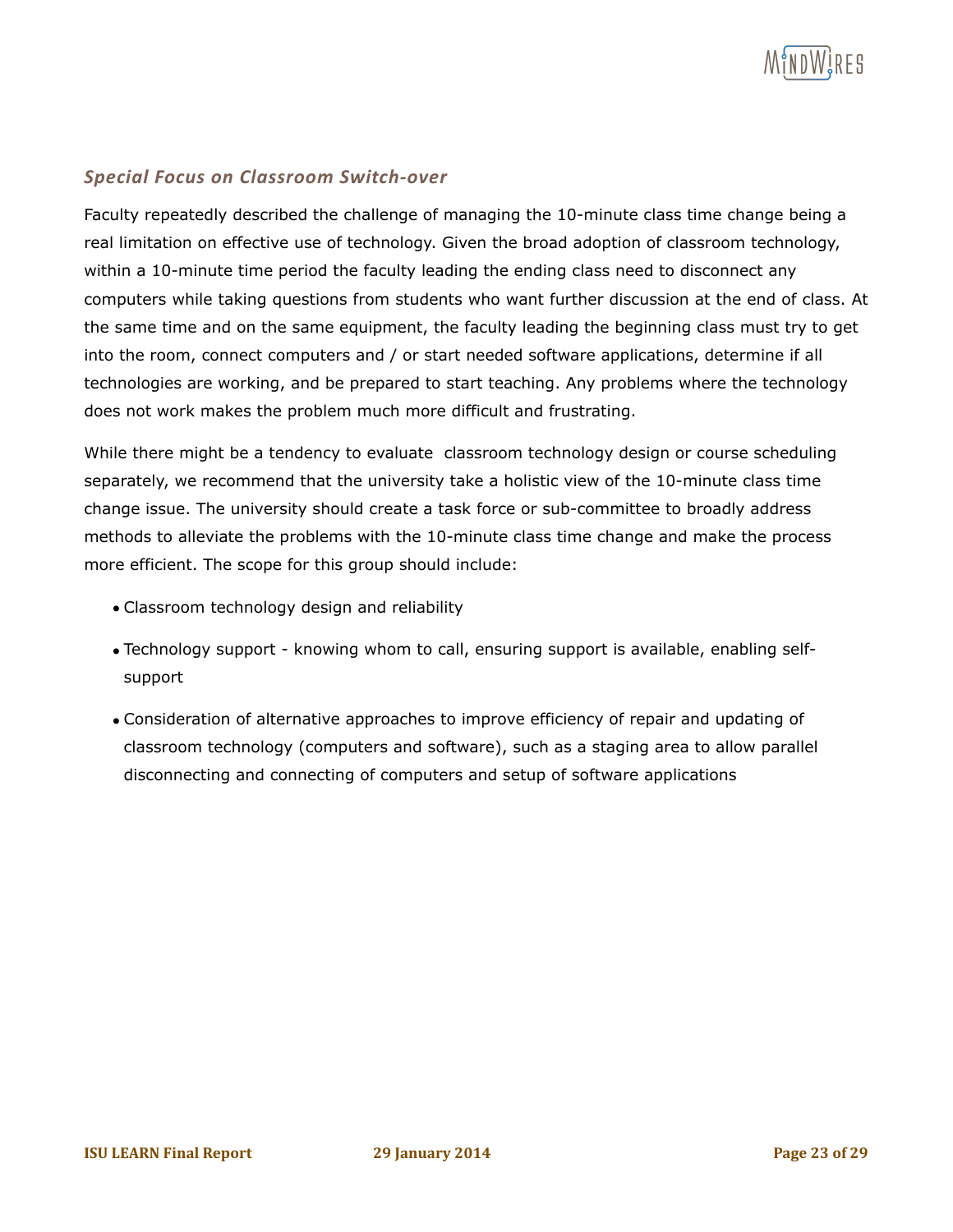

#### *Special Focus on Classroom Switch-over*

Faculty repeatedly described the challenge of managing the 10-minute class time change being a real limitation on effective use of technology. Given the broad adoption of classroom technology, within a 10-minute time period the faculty leading the ending class need to disconnect any computers while taking questions from students who want further discussion at the end of class. At the same time and on the same equipment, the faculty leading the beginning class must try to get into the room, connect computers and / or start needed software applications, determine if all technologies are working, and be prepared to start teaching. Any problems where the technology does not work makes the problem much more difficult and frustrating.

While there might be a tendency to evaluate classroom technology design or course scheduling separately, we recommend that the university take a holistic view of the 10-minute class time change issue. The university should create a task force or sub-committee to broadly address methods to alleviate the problems with the 10-minute class time change and make the process more efficient. The scope for this group should include:

- Classroom technology design and reliability
- Technology support knowing whom to call, ensuring support is available, enabling selfsupport
- Consideration of alternative approaches to improve efficiency of repair and updating of classroom technology (computers and software), such as a staging area to allow parallel disconnecting and connecting of computers and setup of software applications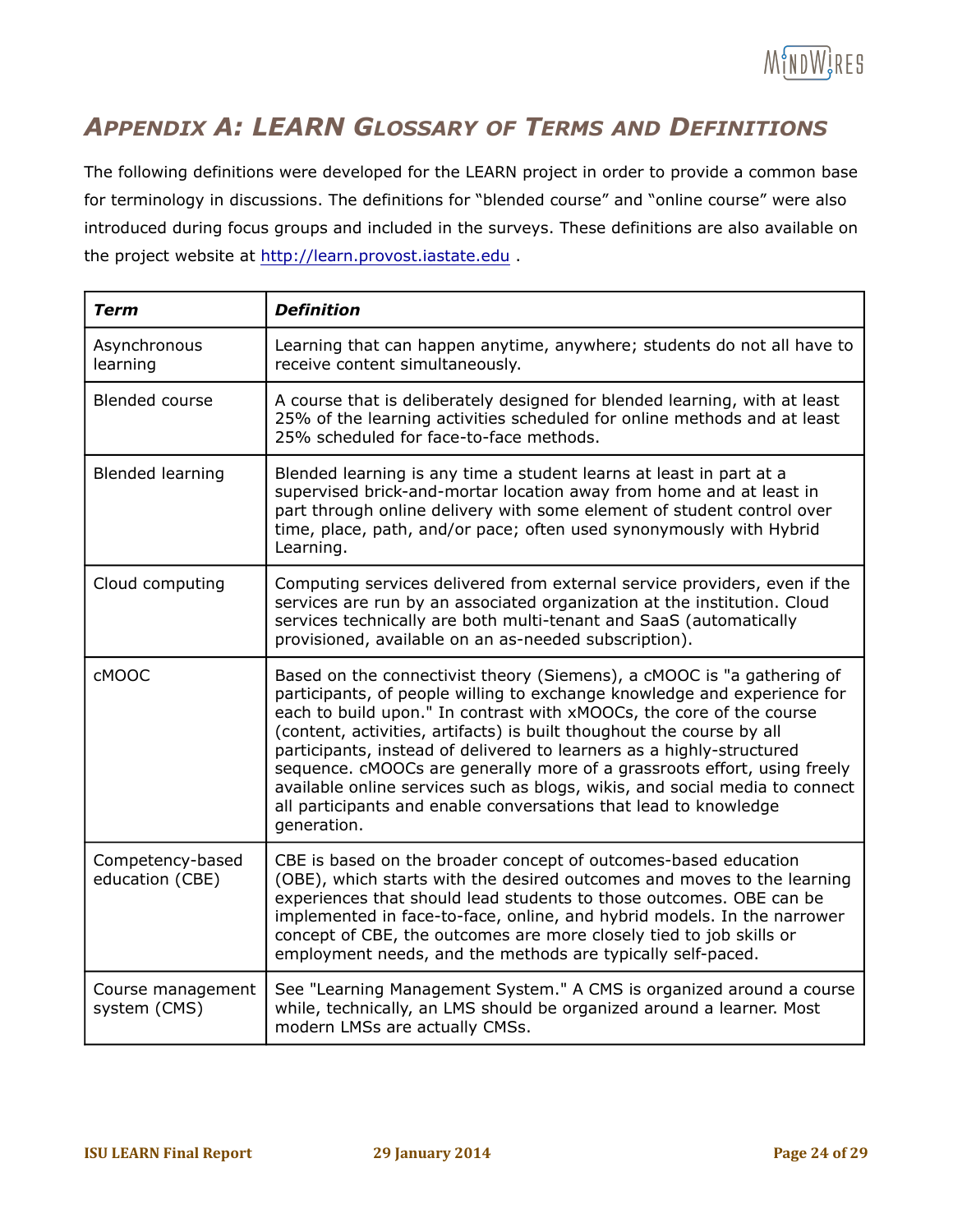

# *APPENDIX A: LEARN GLOSSARY OF TERMS AND DEFINITIONS*

The following definitions were developed for the LEARN project in order to provide a common base for terminology in discussions. The definitions for "blended course" and "online course" were also introduced during focus groups and included in the surveys. These definitions are also available on the project website at http://learn.provost.iastate.edu .

| <b>Term</b>                         | <b>Definition</b>                                                                                                                                                                                                                                                                                                                                                                                                                                                                                                                                                                                                          |
|-------------------------------------|----------------------------------------------------------------------------------------------------------------------------------------------------------------------------------------------------------------------------------------------------------------------------------------------------------------------------------------------------------------------------------------------------------------------------------------------------------------------------------------------------------------------------------------------------------------------------------------------------------------------------|
| Asynchronous<br>learning            | Learning that can happen anytime, anywhere; students do not all have to<br>receive content simultaneously.                                                                                                                                                                                                                                                                                                                                                                                                                                                                                                                 |
| <b>Blended course</b>               | A course that is deliberately designed for blended learning, with at least<br>25% of the learning activities scheduled for online methods and at least<br>25% scheduled for face-to-face methods.                                                                                                                                                                                                                                                                                                                                                                                                                          |
| <b>Blended learning</b>             | Blended learning is any time a student learns at least in part at a<br>supervised brick-and-mortar location away from home and at least in<br>part through online delivery with some element of student control over<br>time, place, path, and/or pace; often used synonymously with Hybrid<br>Learning.                                                                                                                                                                                                                                                                                                                   |
| Cloud computing                     | Computing services delivered from external service providers, even if the<br>services are run by an associated organization at the institution. Cloud<br>services technically are both multi-tenant and SaaS (automatically<br>provisioned, available on an as-needed subscription).                                                                                                                                                                                                                                                                                                                                       |
| <b>CMOOC</b>                        | Based on the connectivist theory (Siemens), a cMOOC is "a gathering of<br>participants, of people willing to exchange knowledge and experience for<br>each to build upon." In contrast with xMOOCs, the core of the course<br>(content, activities, artifacts) is built thoughout the course by all<br>participants, instead of delivered to learners as a highly-structured<br>sequence. cMOOCs are generally more of a grassroots effort, using freely<br>available online services such as blogs, wikis, and social media to connect<br>all participants and enable conversations that lead to knowledge<br>generation. |
| Competency-based<br>education (CBE) | CBE is based on the broader concept of outcomes-based education<br>(OBE), which starts with the desired outcomes and moves to the learning<br>experiences that should lead students to those outcomes. OBE can be<br>implemented in face-to-face, online, and hybrid models. In the narrower<br>concept of CBE, the outcomes are more closely tied to job skills or<br>employment needs, and the methods are typically self-paced.                                                                                                                                                                                         |
| Course management<br>system (CMS)   | See "Learning Management System." A CMS is organized around a course<br>while, technically, an LMS should be organized around a learner. Most<br>modern LMSs are actually CMSs.                                                                                                                                                                                                                                                                                                                                                                                                                                            |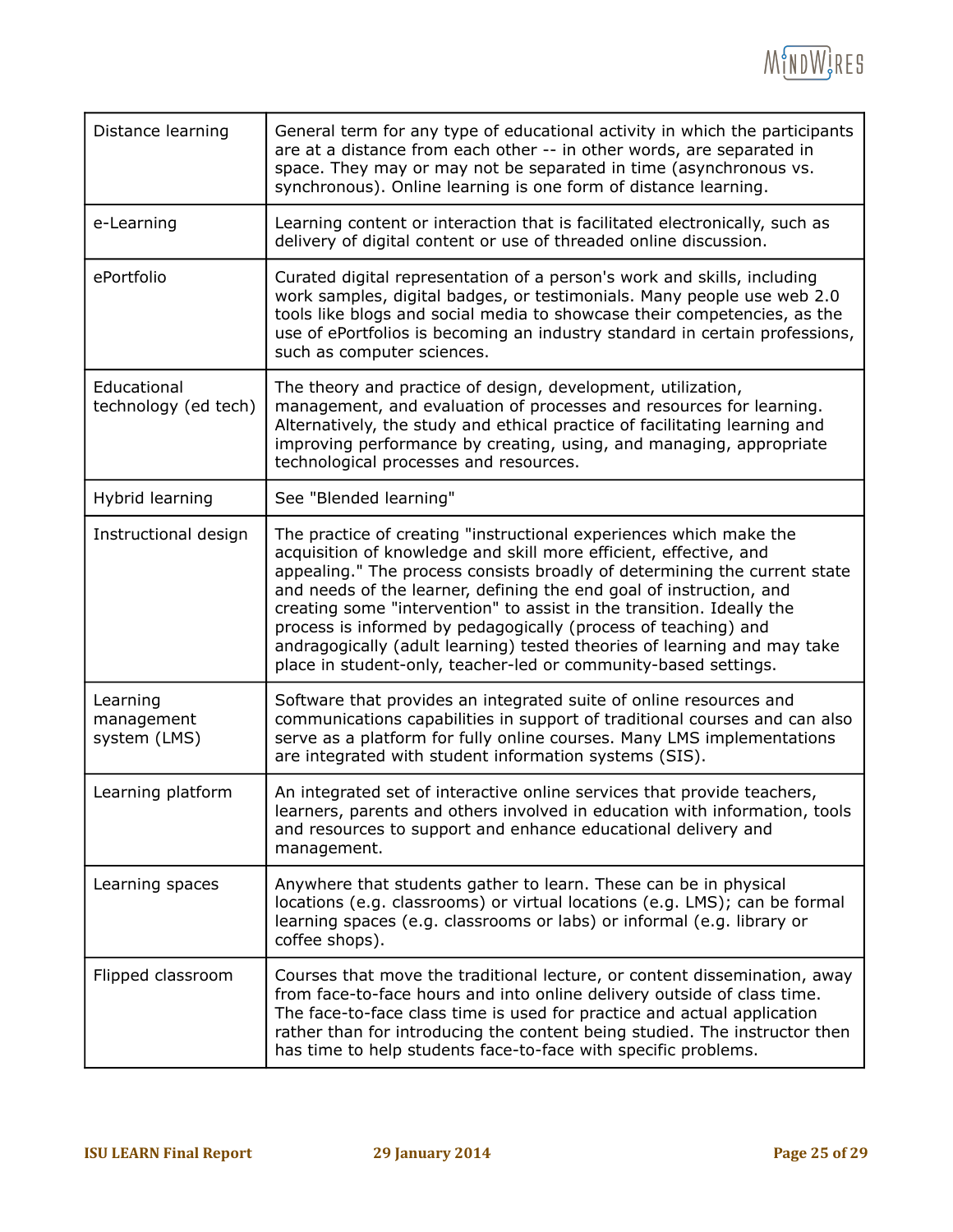

| Distance learning                      | General term for any type of educational activity in which the participants<br>are at a distance from each other -- in other words, are separated in<br>space. They may or may not be separated in time (asynchronous vs.<br>synchronous). Online learning is one form of distance learning.                                                                                                                                                                                                                                                                                          |
|----------------------------------------|---------------------------------------------------------------------------------------------------------------------------------------------------------------------------------------------------------------------------------------------------------------------------------------------------------------------------------------------------------------------------------------------------------------------------------------------------------------------------------------------------------------------------------------------------------------------------------------|
| e-Learning                             | Learning content or interaction that is facilitated electronically, such as<br>delivery of digital content or use of threaded online discussion.                                                                                                                                                                                                                                                                                                                                                                                                                                      |
| ePortfolio                             | Curated digital representation of a person's work and skills, including<br>work samples, digital badges, or testimonials. Many people use web 2.0<br>tools like blogs and social media to showcase their competencies, as the<br>use of ePortfolios is becoming an industry standard in certain professions,<br>such as computer sciences.                                                                                                                                                                                                                                            |
| Educational<br>technology (ed tech)    | The theory and practice of design, development, utilization,<br>management, and evaluation of processes and resources for learning.<br>Alternatively, the study and ethical practice of facilitating learning and<br>improving performance by creating, using, and managing, appropriate<br>technological processes and resources.                                                                                                                                                                                                                                                    |
| Hybrid learning                        | See "Blended learning"                                                                                                                                                                                                                                                                                                                                                                                                                                                                                                                                                                |
| Instructional design                   | The practice of creating "instructional experiences which make the<br>acquisition of knowledge and skill more efficient, effective, and<br>appealing." The process consists broadly of determining the current state<br>and needs of the learner, defining the end goal of instruction, and<br>creating some "intervention" to assist in the transition. Ideally the<br>process is informed by pedagogically (process of teaching) and<br>andragogically (adult learning) tested theories of learning and may take<br>place in student-only, teacher-led or community-based settings. |
| Learning<br>management<br>system (LMS) | Software that provides an integrated suite of online resources and<br>communications capabilities in support of traditional courses and can also<br>serve as a platform for fully online courses. Many LMS implementations<br>are integrated with student information systems (SIS).                                                                                                                                                                                                                                                                                                  |
| Learning platform                      | An integrated set of interactive online services that provide teachers,<br>learners, parents and others involved in education with information, tools<br>and resources to support and enhance educational delivery and<br>management.                                                                                                                                                                                                                                                                                                                                                 |
| Learning spaces                        | Anywhere that students gather to learn. These can be in physical<br>locations (e.g. classrooms) or virtual locations (e.g. LMS); can be formal<br>learning spaces (e.g. classrooms or labs) or informal (e.g. library or<br>coffee shops).                                                                                                                                                                                                                                                                                                                                            |
| Flipped classroom                      | Courses that move the traditional lecture, or content dissemination, away<br>from face-to-face hours and into online delivery outside of class time.<br>The face-to-face class time is used for practice and actual application<br>rather than for introducing the content being studied. The instructor then<br>has time to help students face-to-face with specific problems.                                                                                                                                                                                                       |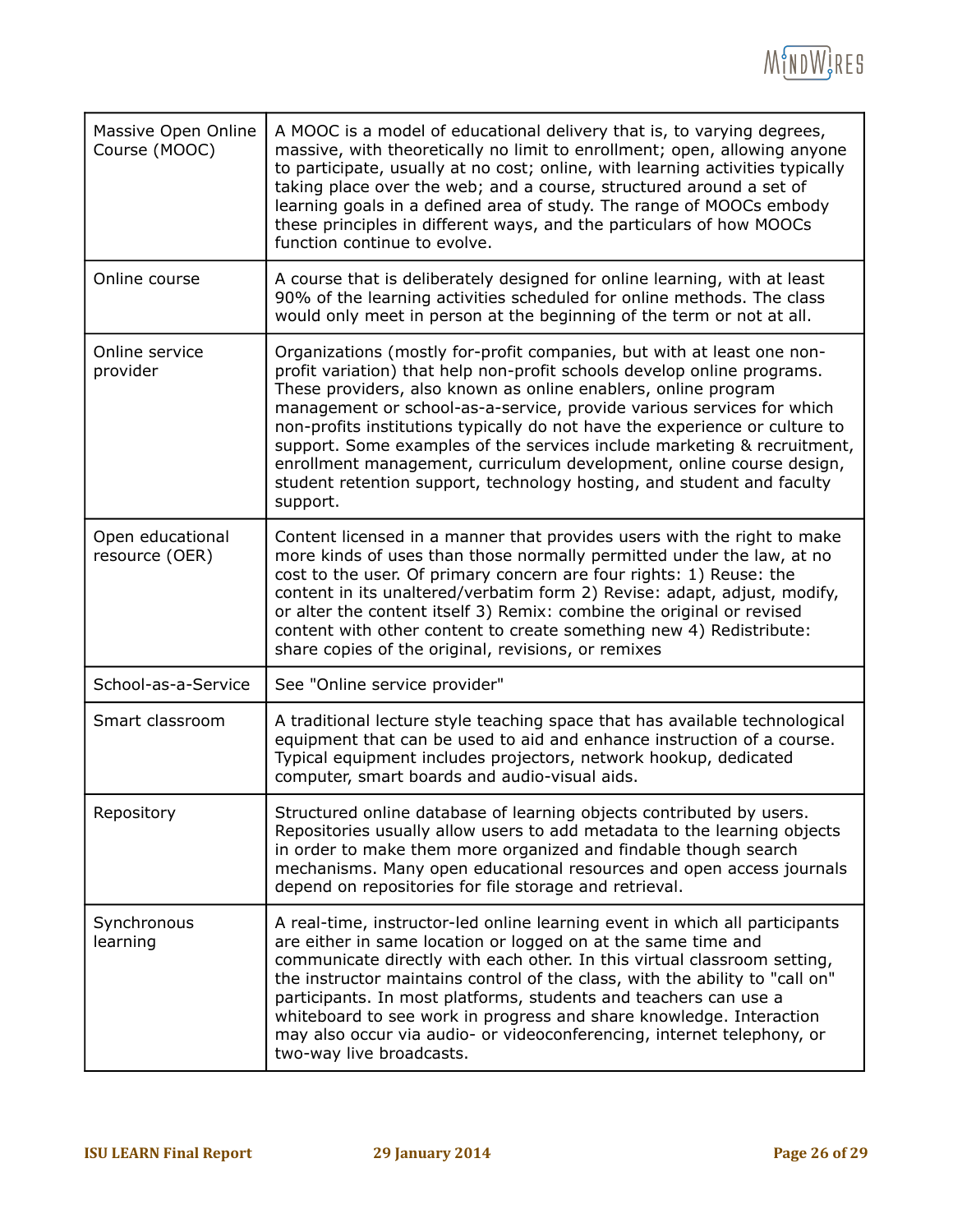

| Massive Open Online<br>Course (MOOC) | A MOOC is a model of educational delivery that is, to varying degrees,<br>massive, with theoretically no limit to enrollment; open, allowing anyone<br>to participate, usually at no cost; online, with learning activities typically<br>taking place over the web; and a course, structured around a set of<br>learning goals in a defined area of study. The range of MOOCs embody<br>these principles in different ways, and the particulars of how MOOCs<br>function continue to evolve.                                                                                                                         |
|--------------------------------------|----------------------------------------------------------------------------------------------------------------------------------------------------------------------------------------------------------------------------------------------------------------------------------------------------------------------------------------------------------------------------------------------------------------------------------------------------------------------------------------------------------------------------------------------------------------------------------------------------------------------|
| Online course                        | A course that is deliberately designed for online learning, with at least<br>90% of the learning activities scheduled for online methods. The class<br>would only meet in person at the beginning of the term or not at all.                                                                                                                                                                                                                                                                                                                                                                                         |
| Online service<br>provider           | Organizations (mostly for-profit companies, but with at least one non-<br>profit variation) that help non-profit schools develop online programs.<br>These providers, also known as online enablers, online program<br>management or school-as-a-service, provide various services for which<br>non-profits institutions typically do not have the experience or culture to<br>support. Some examples of the services include marketing & recruitment,<br>enrollment management, curriculum development, online course design,<br>student retention support, technology hosting, and student and faculty<br>support. |
| Open educational<br>resource (OER)   | Content licensed in a manner that provides users with the right to make<br>more kinds of uses than those normally permitted under the law, at no<br>cost to the user. Of primary concern are four rights: 1) Reuse: the<br>content in its unaltered/verbatim form 2) Revise: adapt, adjust, modify,<br>or alter the content itself 3) Remix: combine the original or revised<br>content with other content to create something new 4) Redistribute:<br>share copies of the original, revisions, or remixes                                                                                                           |
| School-as-a-Service                  | See "Online service provider"                                                                                                                                                                                                                                                                                                                                                                                                                                                                                                                                                                                        |
| Smart classroom                      | A traditional lecture style teaching space that has available technological<br>equipment that can be used to aid and enhance instruction of a course.<br>Typical equipment includes projectors, network hookup, dedicated<br>computer, smart boards and audio-visual aids.                                                                                                                                                                                                                                                                                                                                           |
| Repository                           | Structured online database of learning objects contributed by users.<br>Repositories usually allow users to add metadata to the learning objects<br>in order to make them more organized and findable though search<br>mechanisms. Many open educational resources and open access journals<br>depend on repositories for file storage and retrieval.                                                                                                                                                                                                                                                                |
| Synchronous<br>learning              | A real-time, instructor-led online learning event in which all participants<br>are either in same location or logged on at the same time and<br>communicate directly with each other. In this virtual classroom setting,<br>the instructor maintains control of the class, with the ability to "call on"<br>participants. In most platforms, students and teachers can use a<br>whiteboard to see work in progress and share knowledge. Interaction<br>may also occur via audio- or videoconferencing, internet telephony, or<br>two-way live broadcasts.                                                            |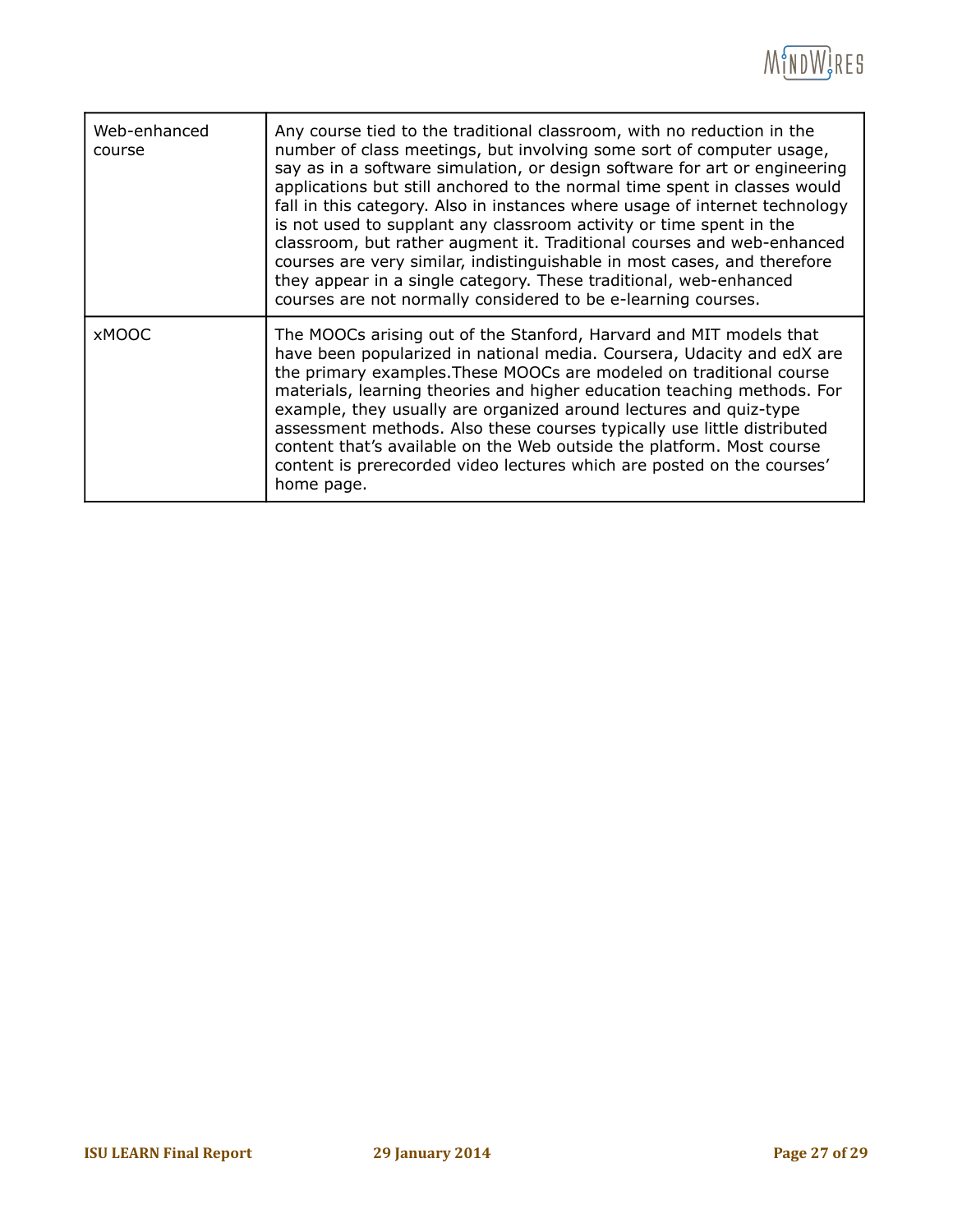

| Web-enhanced<br>course | Any course tied to the traditional classroom, with no reduction in the<br>number of class meetings, but involving some sort of computer usage,<br>say as in a software simulation, or design software for art or engineering<br>applications but still anchored to the normal time spent in classes would<br>fall in this category. Also in instances where usage of internet technology<br>is not used to supplant any classroom activity or time spent in the<br>classroom, but rather augment it. Traditional courses and web-enhanced<br>courses are very similar, indistinguishable in most cases, and therefore<br>they appear in a single category. These traditional, web-enhanced<br>courses are not normally considered to be e-learning courses. |
|------------------------|-------------------------------------------------------------------------------------------------------------------------------------------------------------------------------------------------------------------------------------------------------------------------------------------------------------------------------------------------------------------------------------------------------------------------------------------------------------------------------------------------------------------------------------------------------------------------------------------------------------------------------------------------------------------------------------------------------------------------------------------------------------|
| <b>XMOOC</b>           | The MOOCs arising out of the Stanford, Harvard and MIT models that<br>have been popularized in national media. Coursera, Udacity and edX are<br>the primary examples. These MOOCs are modeled on traditional course<br>materials, learning theories and higher education teaching methods. For<br>example, they usually are organized around lectures and quiz-type<br>assessment methods. Also these courses typically use little distributed<br>content that's available on the Web outside the platform. Most course<br>content is prerecorded video lectures which are posted on the courses'<br>home page.                                                                                                                                             |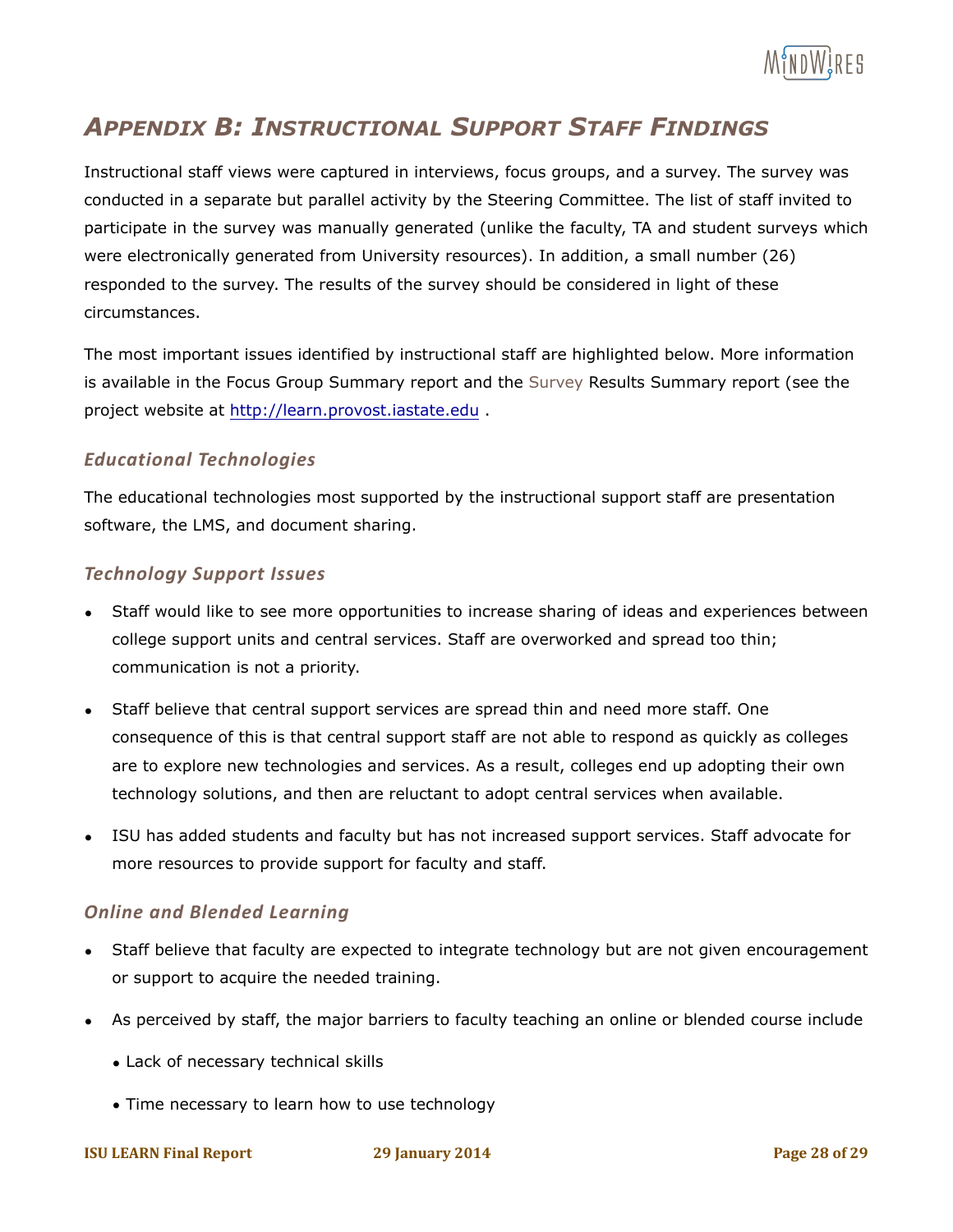

# *APPENDIX B: INSTRUCTIONAL SUPPORT STAFF FINDINGS*

Instructional staff views were captured in interviews, focus groups, and a survey. The survey was conducted in a separate but parallel activity by the Steering Committee. The list of staff invited to participate in the survey was manually generated (unlike the faculty, TA and student surveys which were electronically generated from University resources). In addition, a small number (26) responded to the survey. The results of the survey should be considered in light of these circumstances.

The most important issues identified by instructional staff are highlighted below. More information is available in the Focus Group Summary report and the Survey Results Summary report (see the project website at http://learn.provost.iastate.edu .

#### *Educational Technologies*

The educational technologies most supported by the instructional support staff are presentation software, the LMS, and document sharing.

#### *Technology Support Issues*

- Staff would like to see more opportunities to increase sharing of ideas and experiences between college support units and central services. Staff are overworked and spread too thin; communication is not a priority.
- Staff believe that central support services are spread thin and need more staff. One consequence of this is that central support staff are not able to respond as quickly as colleges are to explore new technologies and services. As a result, colleges end up adopting their own technology solutions, and then are reluctant to adopt central services when available.
- ISU has added students and faculty but has not increased support services. Staff advocate for more resources to provide support for faculty and staff.

#### **Online and Blended Learning**

- Staff believe that faculty are expected to integrate technology but are not given encouragement or support to acquire the needed training.
- As perceived by staff, the major barriers to faculty teaching an online or blended course include
	- Lack of necessary technical skills
	- Time necessary to learn how to use technology